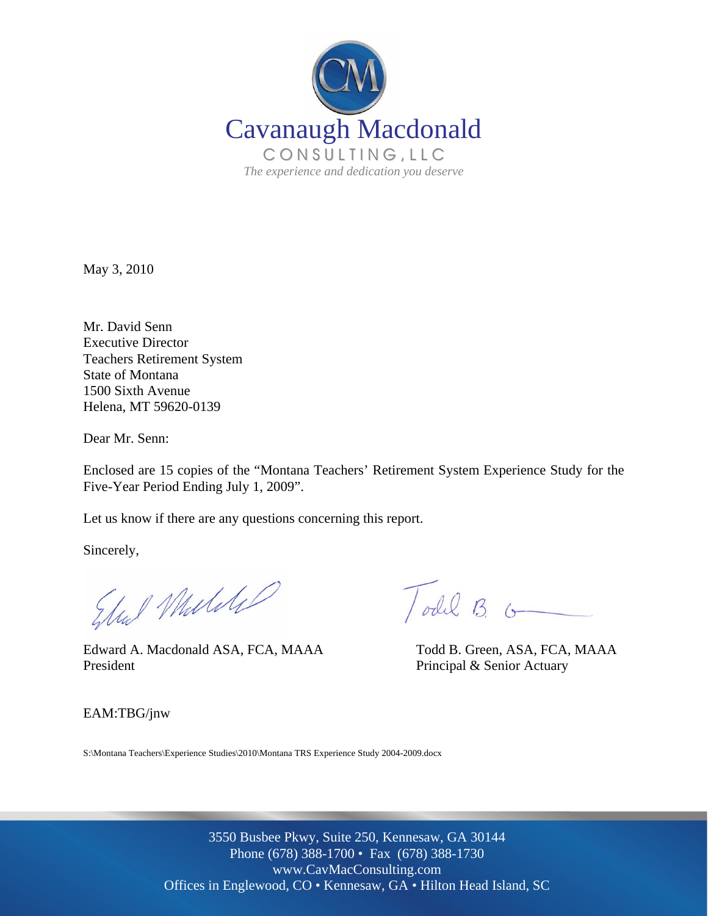

May 3, 2010

Mr. David Senn Executive Director Teachers Retirement System State of Montana 1500 Sixth Avenue Helena, MT 59620-0139

Dear Mr. Senn:

Enclosed are 15 copies of the "Montana Teachers' Retirement System Experience Study for the Five-Year Period Ending July 1, 2009".

Let us know if there are any questions concerning this report.

Sincerely,

Edul Mulike

 Edward A. Macdonald ASA, FCA, MAAA Todd B. Green, ASA, FCA, MAAA President President Principal & Senior Actuary

Todd B. G

EAM:TBG/jnw

S:\Montana Teachers\Experience Studies\2010\Montana TRS Experience Study 2004-2009.docx

3550 Busbee Pkwy, Suite 250, Kennesaw, GA 30144 Phone (678) 388-1700 • Fax (678) 388-1730 www.CavMacConsulting.com Offices in Englewood, CO • Kennesaw, GA • Hilton Head Island, SC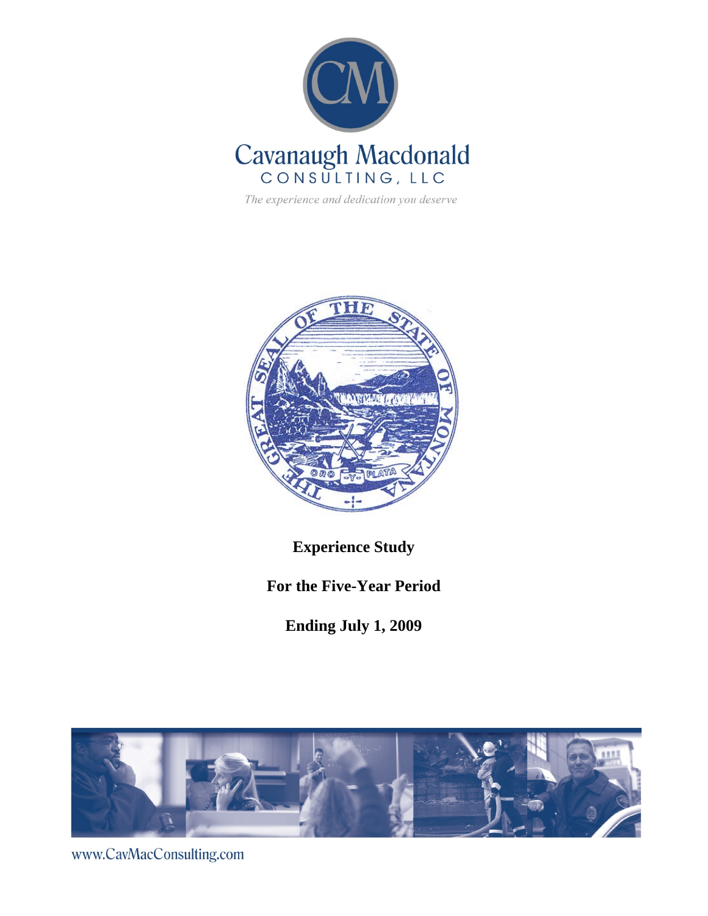

The experience and dedication you deserve



**Experience Study** 

**For the Five-Year Period** 

**Ending July 1, 2009** 



www.CavMacConsulting.com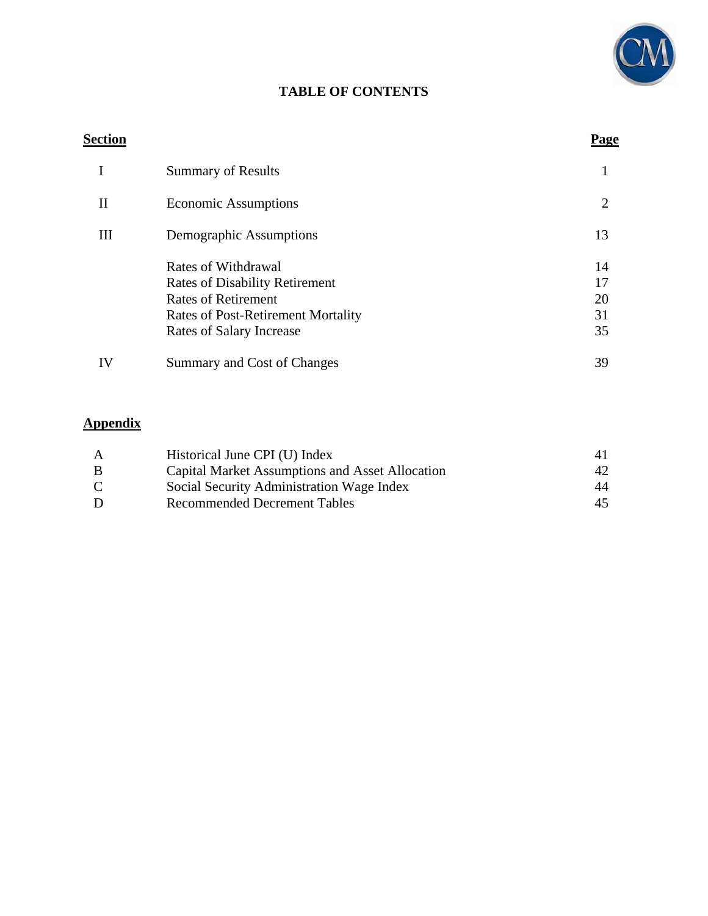

## **TABLE OF CONTENTS**

#### **Section Page**

|    | <b>Summary of Results</b>                                                                                                                                           |                            |
|----|---------------------------------------------------------------------------------------------------------------------------------------------------------------------|----------------------------|
| Н  | <b>Economic Assumptions</b>                                                                                                                                         | 2                          |
| Ш  | Demographic Assumptions                                                                                                                                             | 13                         |
|    | Rates of Withdrawal<br><b>Rates of Disability Retirement</b><br><b>Rates of Retirement</b><br><b>Rates of Post-Retirement Mortality</b><br>Rates of Salary Increase | 14<br>17<br>20<br>31<br>35 |
| IV | Summary and Cost of Changes                                                                                                                                         | 39                         |

# **Appendix**

| A | Historical June CPI (U) Index                   |    |
|---|-------------------------------------------------|----|
| B | Capital Market Assumptions and Asset Allocation | 42 |
| C | Social Security Administration Wage Index       | 44 |
| D | <b>Recommended Decrement Tables</b>             | 45 |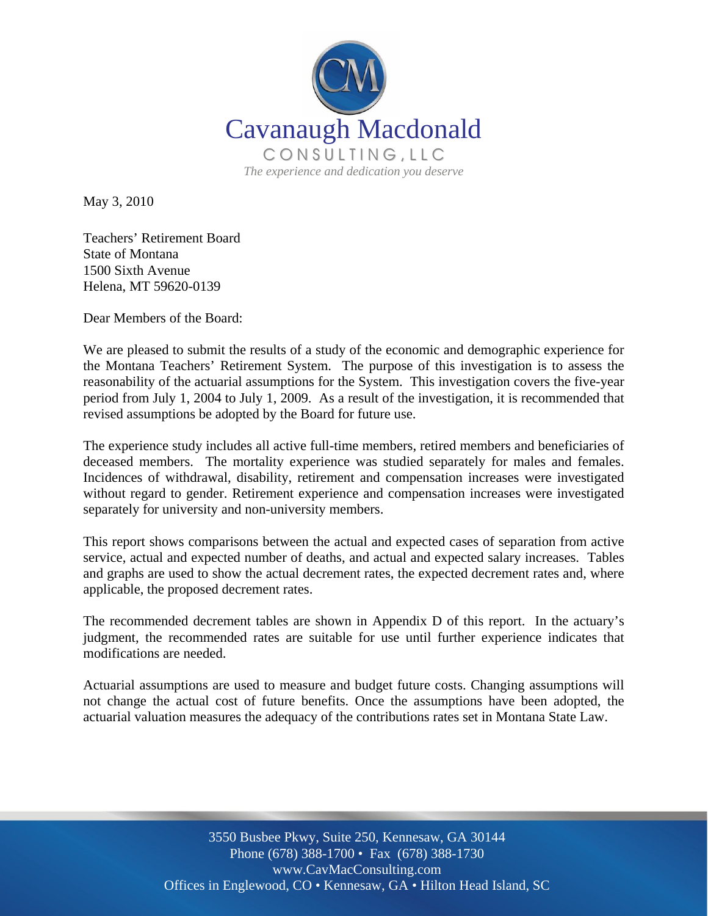

May 3, 2010

Teachers' Retirement Board State of Montana 1500 Sixth Avenue Helena, MT 59620-0139

Dear Members of the Board:

We are pleased to submit the results of a study of the economic and demographic experience for the Montana Teachers' Retirement System. The purpose of this investigation is to assess the reasonability of the actuarial assumptions for the System. This investigation covers the five-year period from July 1, 2004 to July 1, 2009. As a result of the investigation, it is recommended that revised assumptions be adopted by the Board for future use.

The experience study includes all active full-time members, retired members and beneficiaries of deceased members. The mortality experience was studied separately for males and females. Incidences of withdrawal, disability, retirement and compensation increases were investigated without regard to gender. Retirement experience and compensation increases were investigated separately for university and non-university members.

This report shows comparisons between the actual and expected cases of separation from active service, actual and expected number of deaths, and actual and expected salary increases. Tables and graphs are used to show the actual decrement rates, the expected decrement rates and, where applicable, the proposed decrement rates.

The recommended decrement tables are shown in Appendix D of this report. In the actuary's judgment, the recommended rates are suitable for use until further experience indicates that modifications are needed.

Actuarial assumptions are used to measure and budget future costs. Changing assumptions will not change the actual cost of future benefits. Once the assumptions have been adopted, the actuarial valuation measures the adequacy of the contributions rates set in Montana State Law.

> 3550 Busbee Pkwy, Suite 250, Kennesaw, GA 30144 Phone (678) 388-1700 • Fax (678) 388-1730 www.CavMacConsulting.com Offices in Englewood, CO • Kennesaw, GA • Hilton Head Island, SC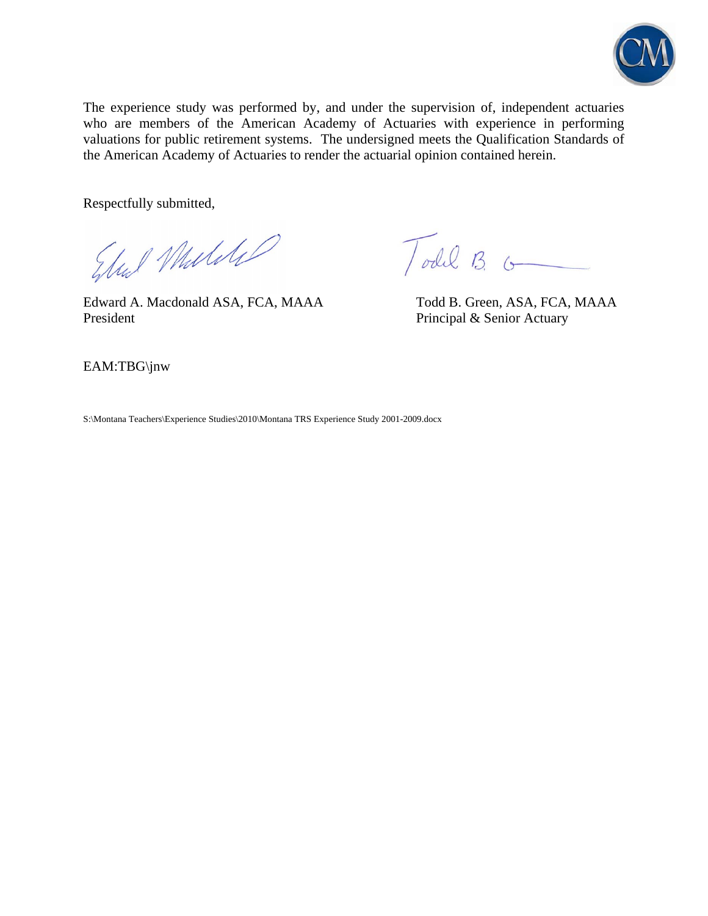

The experience study was performed by, and under the supervision of, independent actuaries who are members of the American Academy of Actuaries with experience in performing valuations for public retirement systems. The undersigned meets the Qualification Standards of the American Academy of Actuaries to render the actuarial opinion contained herein.

Respectfully submitted,

Elul Mulike

Edward A. Macdonald ASA, FCA, MAAA Todd B. Green, ASA, FCA, MAAA President President Principal & Senior Actuary

Todil B. G

EAM:TBG\jnw

S:\Montana Teachers\Experience Studies\2010\Montana TRS Experience Study 2001-2009.docx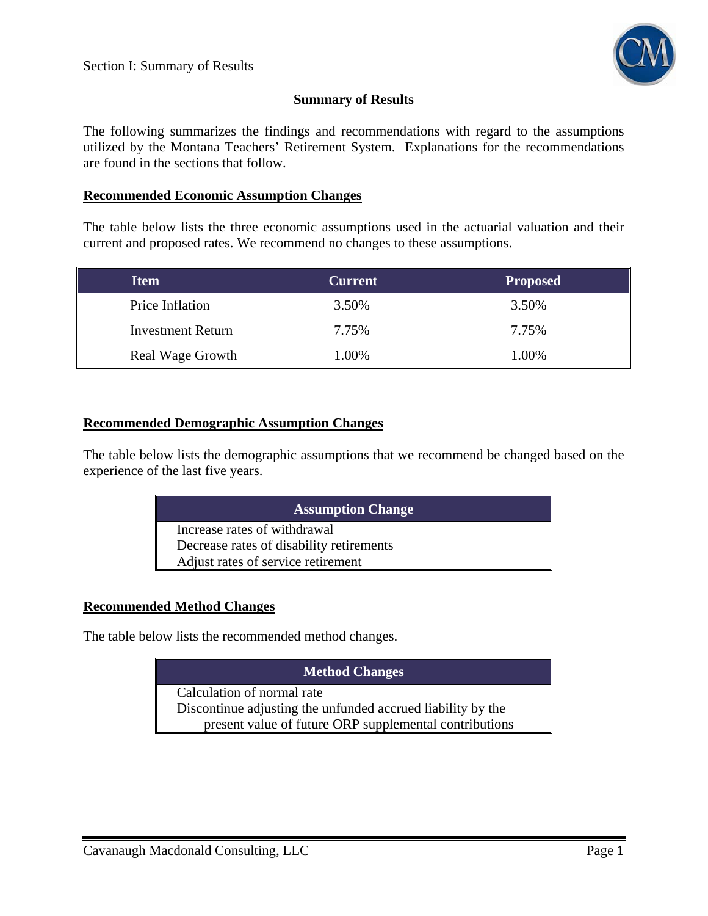

#### **Summary of Results**

The following summarizes the findings and recommendations with regard to the assumptions utilized by the Montana Teachers' Retirement System. Explanations for the recommendations are found in the sections that follow.

#### **Recommended Economic Assumption Changes**

The table below lists the three economic assumptions used in the actuarial valuation and their current and proposed rates. We recommend no changes to these assumptions.

| <b>Item</b>              | <b>Current</b> | <b>Proposed</b> |  |
|--------------------------|----------------|-----------------|--|
| Price Inflation          | 3.50%          | 3.50%           |  |
| <b>Investment Return</b> | 7.75%          | 7.75%           |  |
| <b>Real Wage Growth</b>  | 1.00%          | 1.00%           |  |

#### **Recommended Demographic Assumption Changes**

The table below lists the demographic assumptions that we recommend be changed based on the experience of the last five years.

| <b>Assumption Change</b>                 |
|------------------------------------------|
| Increase rates of withdrawal             |
| Decrease rates of disability retirements |
| Adjust rates of service retirement       |

#### **Recommended Method Changes**

The table below lists the recommended method changes.

#### **Method Changes**

Calculation of normal rate Discontinue adjusting the unfunded accrued liability by the present value of future ORP supplemental contributions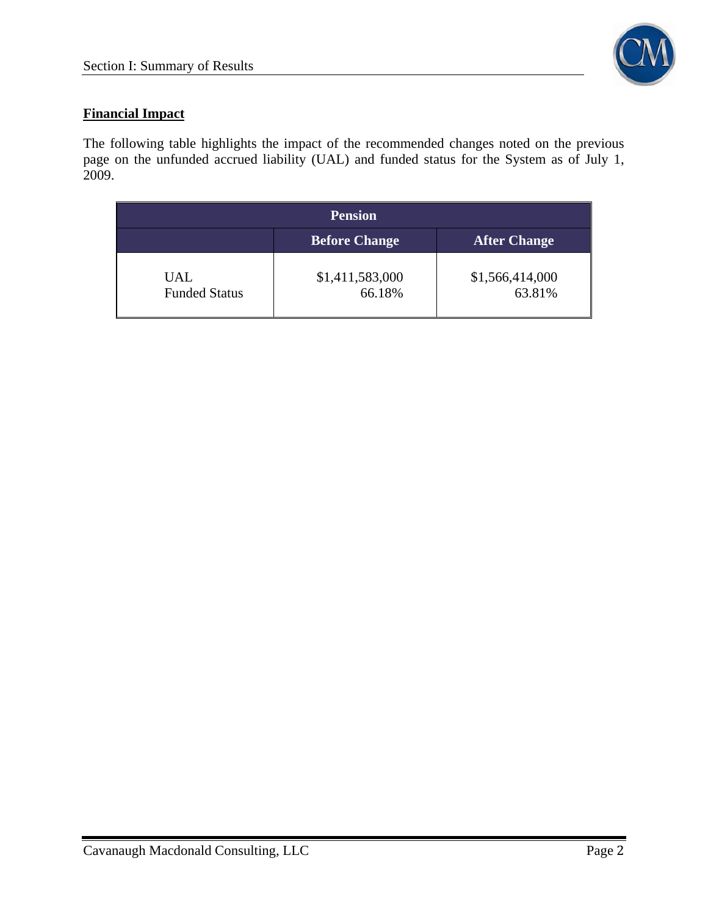

## **Financial Impact**

The following table highlights the impact of the recommended changes noted on the previous page on the unfunded accrued liability (UAL) and funded status for the System as of July 1, 2009.

| <b>Pension</b>                              |                           |                           |  |  |  |  |
|---------------------------------------------|---------------------------|---------------------------|--|--|--|--|
| <b>After Change</b><br><b>Before Change</b> |                           |                           |  |  |  |  |
| UAL<br><b>Funded Status</b>                 | \$1,411,583,000<br>66.18% | \$1,566,414,000<br>63.81% |  |  |  |  |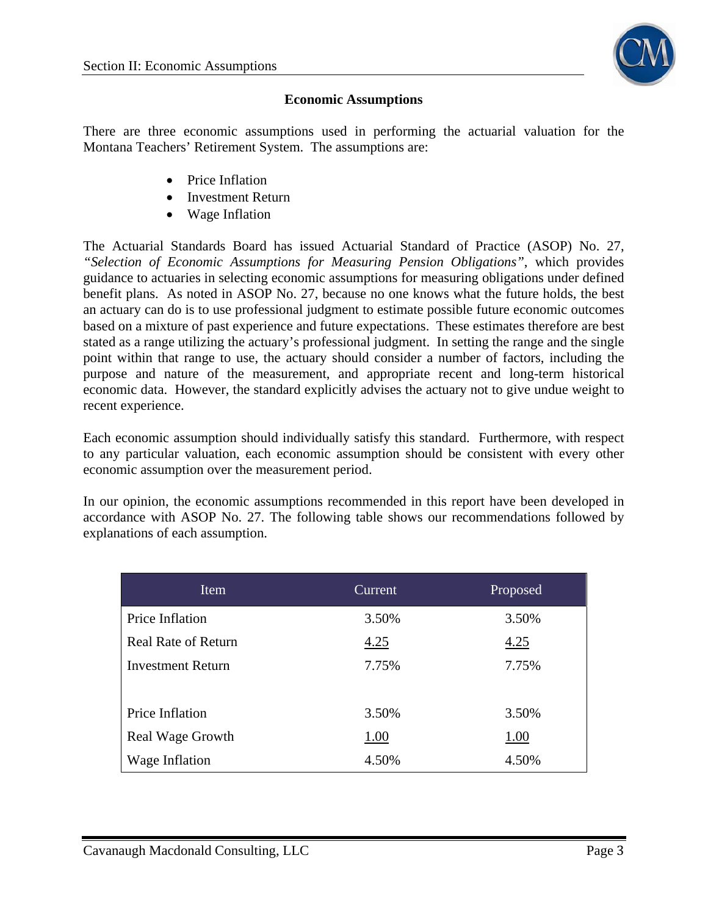

#### **Economic Assumptions**

There are three economic assumptions used in performing the actuarial valuation for the Montana Teachers' Retirement System. The assumptions are:

- Price Inflation
- Investment Return
- Wage Inflation

The Actuarial Standards Board has issued Actuarial Standard of Practice (ASOP) No. 27, *"Selection of Economic Assumptions for Measuring Pension Obligations"*, which provides guidance to actuaries in selecting economic assumptions for measuring obligations under defined benefit plans. As noted in ASOP No. 27, because no one knows what the future holds, the best an actuary can do is to use professional judgment to estimate possible future economic outcomes based on a mixture of past experience and future expectations. These estimates therefore are best stated as a range utilizing the actuary's professional judgment. In setting the range and the single point within that range to use, the actuary should consider a number of factors, including the purpose and nature of the measurement, and appropriate recent and long-term historical economic data. However, the standard explicitly advises the actuary not to give undue weight to recent experience.

Each economic assumption should individually satisfy this standard. Furthermore, with respect to any particular valuation, each economic assumption should be consistent with every other economic assumption over the measurement period.

In our opinion, the economic assumptions recommended in this report have been developed in accordance with ASOP No. 27. The following table shows our recommendations followed by explanations of each assumption.

| Item                       | Current | Proposed |
|----------------------------|---------|----------|
| Price Inflation            | 3.50%   | 3.50%    |
| <b>Real Rate of Return</b> | 4.25    | 4.25     |
| <b>Investment Return</b>   | 7.75%   | 7.75%    |
|                            |         |          |
| Price Inflation            | 3.50%   | 3.50%    |
| Real Wage Growth           | 1.00    | 1.00     |
| Wage Inflation             | 4.50%   | 4.50%    |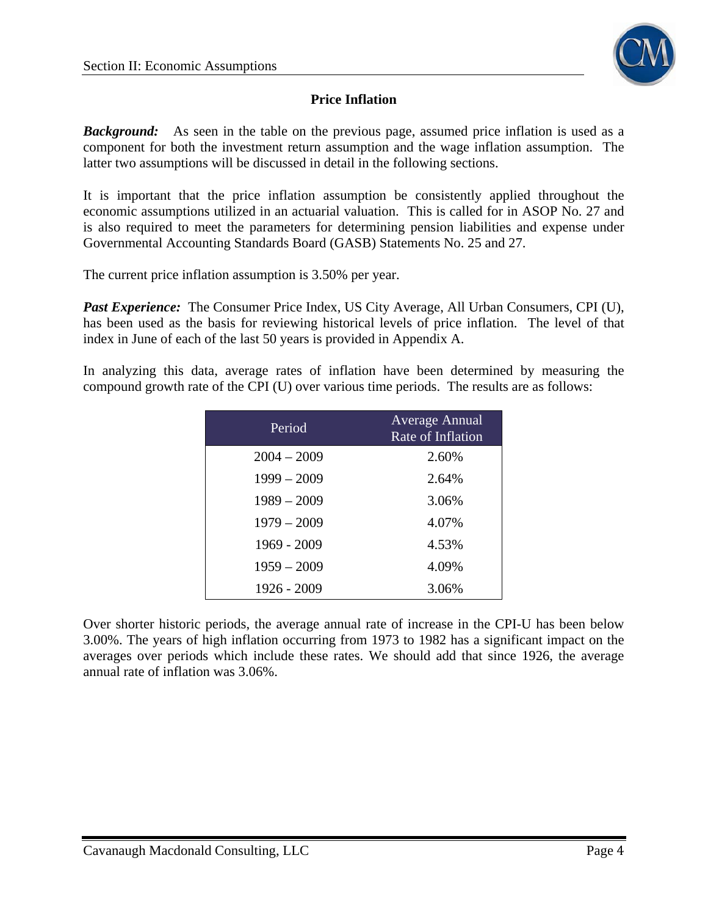

## **Price Inflation**

**Background:** As seen in the table on the previous page, assumed price inflation is used as a component for both the investment return assumption and the wage inflation assumption. The latter two assumptions will be discussed in detail in the following sections.

It is important that the price inflation assumption be consistently applied throughout the economic assumptions utilized in an actuarial valuation. This is called for in ASOP No. 27 and is also required to meet the parameters for determining pension liabilities and expense under Governmental Accounting Standards Board (GASB) Statements No. 25 and 27.

The current price inflation assumption is 3.50% per year.

*Past Experience:* The Consumer Price Index, US City Average, All Urban Consumers, CPI (U), has been used as the basis for reviewing historical levels of price inflation. The level of that index in June of each of the last 50 years is provided in Appendix A.

In analyzing this data, average rates of inflation have been determined by measuring the compound growth rate of the CPI (U) over various time periods. The results are as follows:

| Period        | <b>Average Annual</b><br>Rate of Inflation |
|---------------|--------------------------------------------|
| $2004 - 2009$ | 2.60%                                      |
| $1999 - 2009$ | 2.64%                                      |
| $1989 - 2009$ | 3.06%                                      |
| $1979 - 2009$ | 4.07%                                      |
| 1969 - 2009   | 4.53%                                      |
| $1959 - 2009$ | 4.09%                                      |
| 1926 - 2009   | 3.06%                                      |

Over shorter historic periods, the average annual rate of increase in the CPI-U has been below 3.00%. The years of high inflation occurring from 1973 to 1982 has a significant impact on the averages over periods which include these rates. We should add that since 1926, the average annual rate of inflation was 3.06%.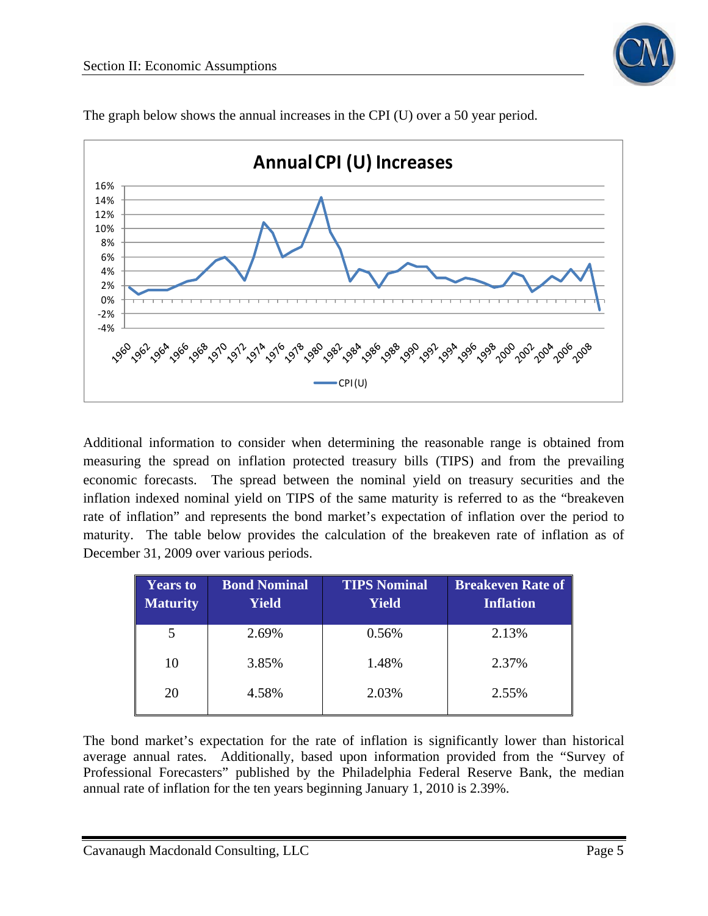



The graph below shows the annual increases in the CPI (U) over a 50 year period.

Additional information to consider when determining the reasonable range is obtained from measuring the spread on inflation protected treasury bills (TIPS) and from the prevailing economic forecasts. The spread between the nominal yield on treasury securities and the inflation indexed nominal yield on TIPS of the same maturity is referred to as the "breakeven rate of inflation" and represents the bond market's expectation of inflation over the period to maturity. The table below provides the calculation of the breakeven rate of inflation as of December 31, 2009 over various periods.

| <b>Years to</b><br><b>Maturity</b> | <b>Bond Nominal</b><br><b>Yield</b> | <b>TIPS Nominal</b><br><b>Yield</b> | <b>Breakeven Rate of</b><br><b>Inflation</b> |
|------------------------------------|-------------------------------------|-------------------------------------|----------------------------------------------|
| 5                                  | 2.69%                               | 0.56%                               | 2.13%                                        |
| 10                                 | 3.85%                               | 1.48%                               | 2.37%                                        |
| 20                                 | 4.58%                               | 2.03%                               | 2.55%                                        |

The bond market's expectation for the rate of inflation is significantly lower than historical average annual rates. Additionally, based upon information provided from the "Survey of Professional Forecasters" published by the Philadelphia Federal Reserve Bank, the median annual rate of inflation for the ten years beginning January 1, 2010 is 2.39%.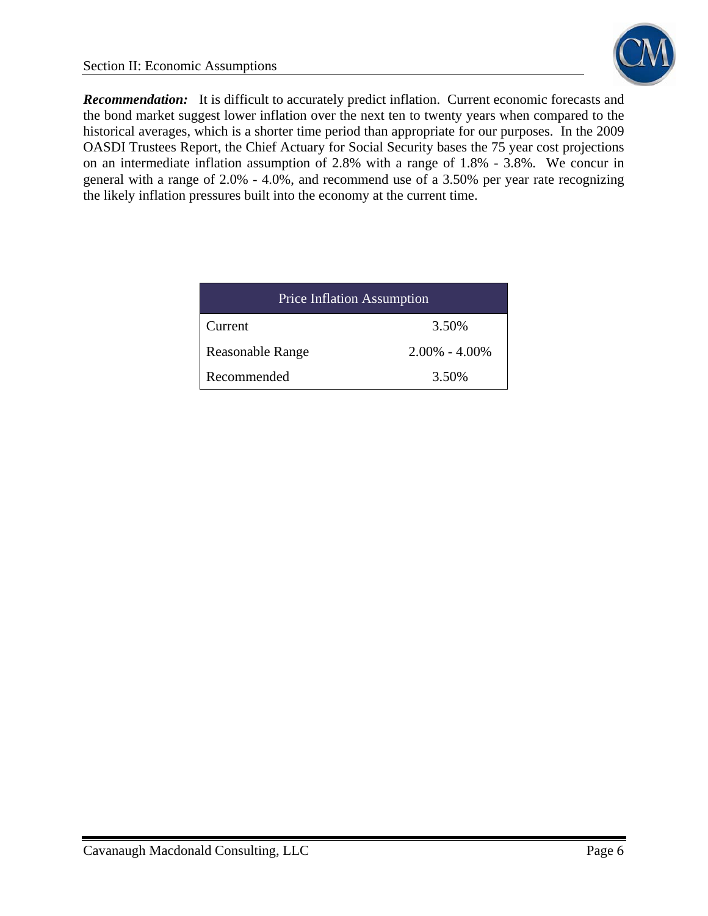**Recommendation:** It is difficult to accurately predict inflation. Current economic forecasts and the bond market suggest lower inflation over the next ten to twenty years when compared to the historical averages, which is a shorter time period than appropriate for our purposes. In the 2009 OASDI Trustees Report, the Chief Actuary for Social Security bases the 75 year cost projections on an intermediate inflation assumption of 2.8% with a range of 1.8% - 3.8%. We concur in general with a range of 2.0% - 4.0%, and recommend use of a 3.50% per year rate recognizing the likely inflation pressures built into the economy at the current time.

| <b>Price Inflation Assumption</b> |                   |  |  |  |  |
|-----------------------------------|-------------------|--|--|--|--|
| 3.50%<br>Current                  |                   |  |  |  |  |
| <b>Reasonable Range</b>           | $2.00\% - 4.00\%$ |  |  |  |  |
| Recommended                       | 3.50%             |  |  |  |  |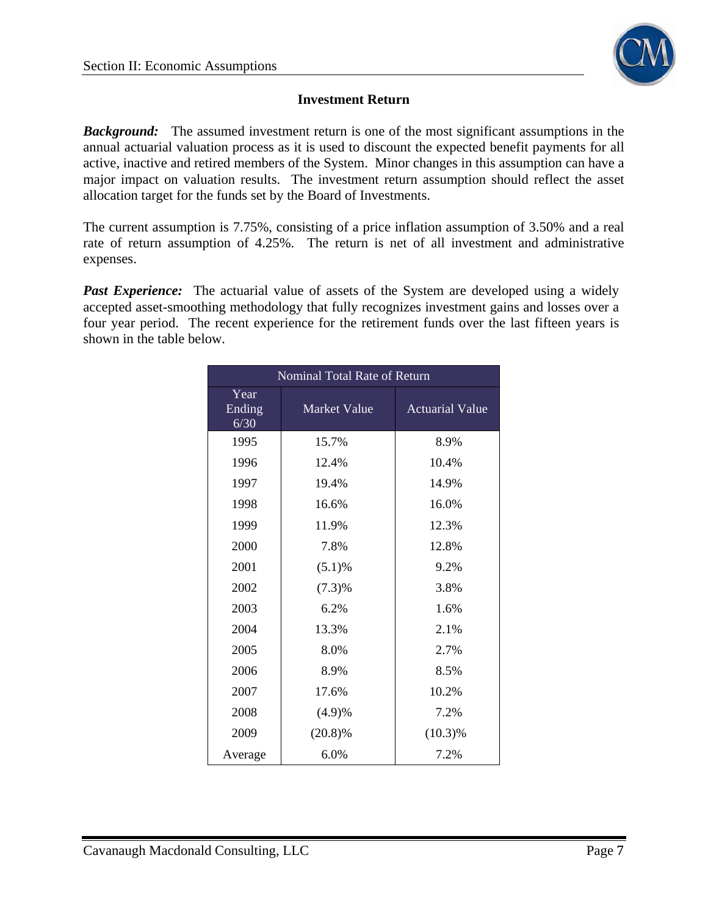

#### **Investment Return**

*Background:* The assumed investment return is one of the most significant assumptions in the annual actuarial valuation process as it is used to discount the expected benefit payments for all active, inactive and retired members of the System. Minor changes in this assumption can have a major impact on valuation results. The investment return assumption should reflect the asset allocation target for the funds set by the Board of Investments.

The current assumption is 7.75%, consisting of a price inflation assumption of 3.50% and a real rate of return assumption of 4.25%. The return is net of all investment and administrative expenses.

**Past Experience:** The actuarial value of assets of the System are developed using a widely accepted asset-smoothing methodology that fully recognizes investment gains and losses over a four year period. The recent experience for the retirement funds over the last fifteen years is shown in the table below.

| Nominal Total Rate of Return |                     |                        |  |  |  |  |
|------------------------------|---------------------|------------------------|--|--|--|--|
| Year<br>Ending<br>6/30       | <b>Market Value</b> | <b>Actuarial Value</b> |  |  |  |  |
| 1995                         | 15.7%               | 8.9%                   |  |  |  |  |
| 1996                         | 12.4%               | 10.4%                  |  |  |  |  |
| 1997                         | 19.4%               | 14.9%                  |  |  |  |  |
| 1998                         | 16.6%               | 16.0%                  |  |  |  |  |
| 1999                         | 11.9%               | 12.3%                  |  |  |  |  |
| 2000                         | 7.8%                | 12.8%                  |  |  |  |  |
| 2001                         | $(5.1)\%$           | 9.2%                   |  |  |  |  |
| 2002                         | $(7.3)\%$           | 3.8%                   |  |  |  |  |
| 2003                         | 6.2%                | 1.6%                   |  |  |  |  |
| 2004                         | 13.3%               | 2.1%                   |  |  |  |  |
| 2005                         | 8.0%                | 2.7%                   |  |  |  |  |
| 2006                         | 8.9%                | 8.5%                   |  |  |  |  |
| 2007                         | 17.6%               | 10.2%                  |  |  |  |  |
| 2008                         | (4.9)%              | 7.2%                   |  |  |  |  |
| 2009                         | $(20.8)\%$          | $(10.3)\%$             |  |  |  |  |
| Average                      | 6.0%                | 7.2%                   |  |  |  |  |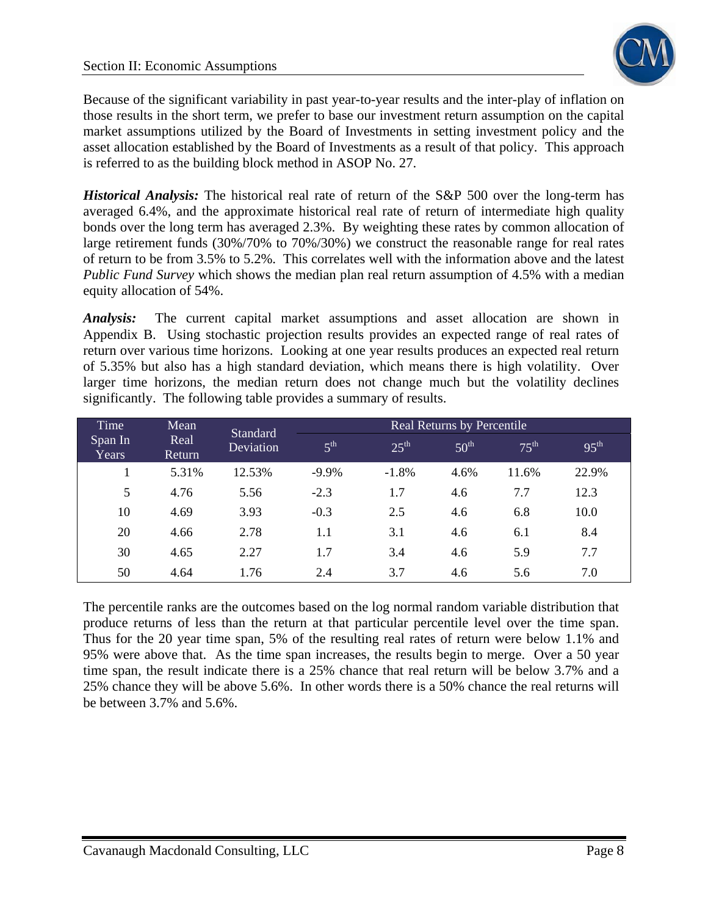

Because of the significant variability in past year-to-year results and the inter-play of inflation on those results in the short term, we prefer to base our investment return assumption on the capital market assumptions utilized by the Board of Investments in setting investment policy and the asset allocation established by the Board of Investments as a result of that policy. This approach is referred to as the building block method in ASOP No. 27.

*Historical Analysis:* The historical real rate of return of the S&P 500 over the long-term has averaged 6.4%, and the approximate historical real rate of return of intermediate high quality bonds over the long term has averaged 2.3%. By weighting these rates by common allocation of large retirement funds (30%/70% to 70%/30%) we construct the reasonable range for real rates of return to be from 3.5% to 5.2%. This correlates well with the information above and the latest *Public Fund Survey* which shows the median plan real return assumption of 4.5% with a median equity allocation of 54%.

*Analysis:* The current capital market assumptions and asset allocation are shown in Appendix B. Using stochastic projection results provides an expected range of real rates of return over various time horizons. Looking at one year results produces an expected real return of 5.35% but also has a high standard deviation, which means there is high volatility. Over larger time horizons, the median return does not change much but the volatility declines significantly. The following table provides a summary of results.

| Time                    | Mean<br><b>Standard</b> | <b>Real Returns by Percentile</b> |                 |                  |                  |                  |                  |
|-------------------------|-------------------------|-----------------------------------|-----------------|------------------|------------------|------------------|------------------|
| Span In<br><b>Years</b> | Real<br>Return          | Deviation                         | 5 <sup>th</sup> | $25^{\text{th}}$ | 50 <sup>th</sup> | $75^{\text{th}}$ | $95^{\text{th}}$ |
|                         | 5.31%                   | 12.53%                            | $-9.9\%$        | $-1.8%$          | 4.6%             | 11.6%            | 22.9%            |
| 5                       | 4.76                    | 5.56                              | $-2.3$          | 1.7              | 4.6              | 7.7              | 12.3             |
| 10                      | 4.69                    | 3.93                              | $-0.3$          | 2.5              | 4.6              | 6.8              | 10.0             |
| 20                      | 4.66                    | 2.78                              | 1.1             | 3.1              | 4.6              | 6.1              | 8.4              |
| 30                      | 4.65                    | 2.27                              | 1.7             | 3.4              | 4.6              | 5.9              | 7.7              |
| 50                      | 4.64                    | 1.76                              | 2.4             | 3.7              | 4.6              | 5.6              | 7.0              |

The percentile ranks are the outcomes based on the log normal random variable distribution that produce returns of less than the return at that particular percentile level over the time span. Thus for the 20 year time span, 5% of the resulting real rates of return were below 1.1% and 95% were above that. As the time span increases, the results begin to merge. Over a 50 year time span, the result indicate there is a 25% chance that real return will be below 3.7% and a 25% chance they will be above 5.6%. In other words there is a 50% chance the real returns will be between 3.7% and 5.6%.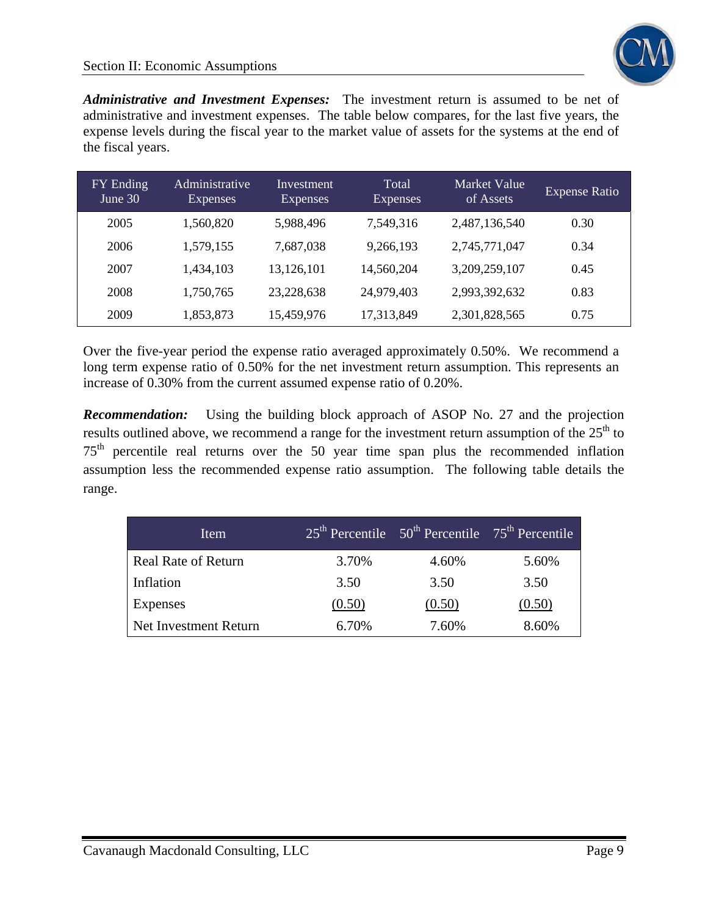

*Administrative and Investment Expenses:* The investment return is assumed to be net of administrative and investment expenses. The table below compares, for the last five years, the expense levels during the fiscal year to the market value of assets for the systems at the end of the fiscal years.

| FY Ending<br>June 30 | Administrative<br><b>Expenses</b> | Investment<br><b>Expenses</b> | Total<br><b>Expenses</b> | Market Value<br>of Assets | <b>Expense Ratio</b> |
|----------------------|-----------------------------------|-------------------------------|--------------------------|---------------------------|----------------------|
| 2005                 | 1,560,820                         | 5,988,496                     | 7,549,316                | 2,487,136,540             | 0.30                 |
| 2006                 | 1,579,155                         | 7,687,038                     | 9,266,193                | 2,745,771,047             | 0.34                 |
| 2007                 | 1,434,103                         | 13,126,101                    | 14,560,204               | 3,209,259,107             | 0.45                 |
| 2008                 | 1,750,765                         | 23,228,638                    | 24,979,403               | 2,993,392,632             | 0.83                 |
| 2009                 | 1,853,873                         | 15,459,976                    | 17,313,849               | 2,301,828,565             | 0.75                 |

Over the five-year period the expense ratio averaged approximately 0.50%. We recommend a long term expense ratio of 0.50% for the net investment return assumption. This represents an increase of 0.30% from the current assumed expense ratio of 0.20%.

*Recommendation:* Using the building block approach of ASOP No. 27 and the projection results outlined above, we recommend a range for the investment return assumption of the  $25<sup>th</sup>$  to  $75<sup>th</sup>$  percentile real returns over the 50 year time span plus the recommended inflation assumption less the recommended expense ratio assumption. The following table details the range.

| Item                       |        | $25th$ Percentile $50th$ Percentile $75th$ Percentile |        |
|----------------------------|--------|-------------------------------------------------------|--------|
| <b>Real Rate of Return</b> | 3.70%  | 4.60%                                                 | 5.60%  |
| Inflation                  | 3.50   | 3.50                                                  | 3.50   |
| Expenses                   | (0.50) | (0.50)                                                | (0.50) |
| Net Investment Return      | 6.70%  | 7.60%                                                 | 8.60%  |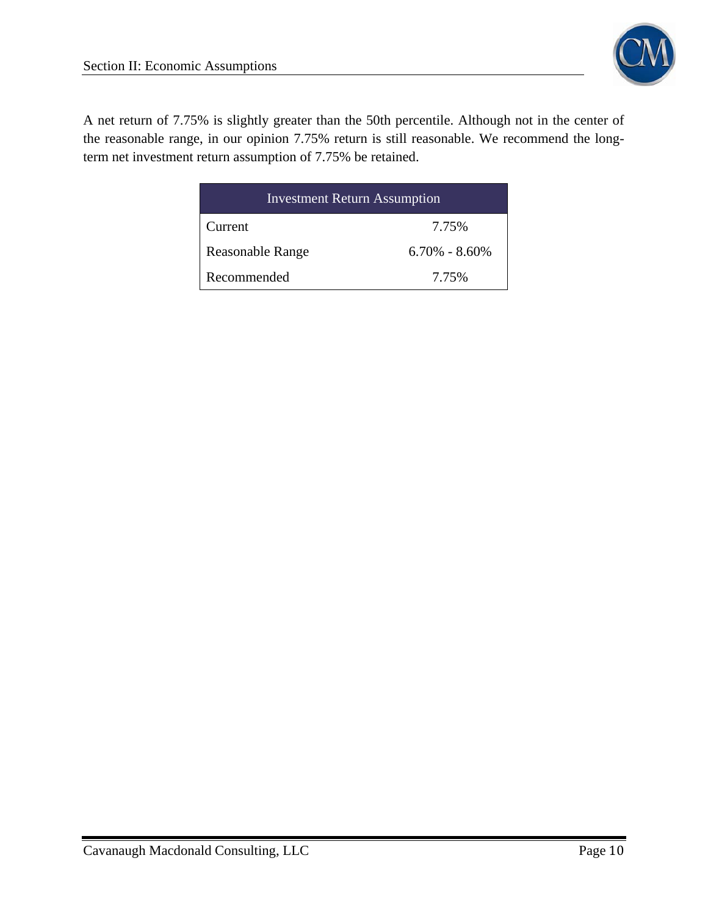

A net return of 7.75% is slightly greater than the 50th percentile. Although not in the center of the reasonable range, in our opinion 7.75% return is still reasonable. We recommend the longterm net investment return assumption of 7.75% be retained.

| <b>Investment Return Assumption</b> |                   |  |  |  |
|-------------------------------------|-------------------|--|--|--|
| Current                             | 7.75%             |  |  |  |
| Reasonable Range                    | $6.70\% - 8.60\%$ |  |  |  |
| Recommended                         | 7.75%             |  |  |  |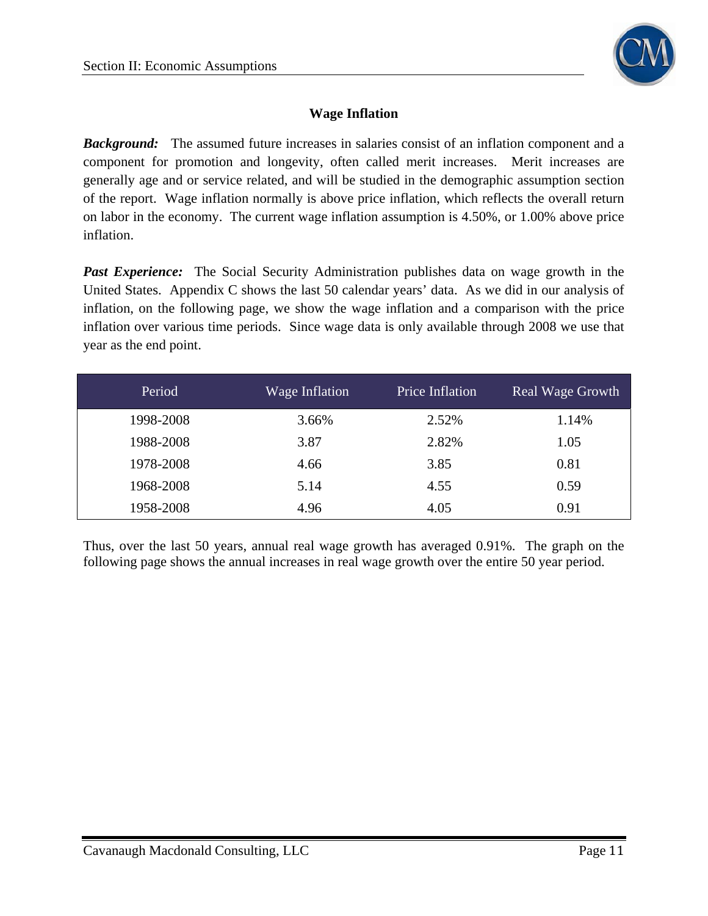

#### **Wage Inflation**

*Background:* The assumed future increases in salaries consist of an inflation component and a component for promotion and longevity, often called merit increases. Merit increases are generally age and or service related, and will be studied in the demographic assumption section of the report. Wage inflation normally is above price inflation, which reflects the overall return on labor in the economy. The current wage inflation assumption is 4.50%, or 1.00% above price inflation.

*Past Experience:* The Social Security Administration publishes data on wage growth in the United States. Appendix C shows the last 50 calendar years' data. As we did in our analysis of inflation, on the following page, we show the wage inflation and a comparison with the price inflation over various time periods. Since wage data is only available through 2008 we use that year as the end point.

| Period    | Wage Inflation | Price Inflation | Real Wage Growth |
|-----------|----------------|-----------------|------------------|
| 1998-2008 | 3.66%          | 2.52%           | 1.14%            |
| 1988-2008 | 3.87           | 2.82%           | 1.05             |
| 1978-2008 | 4.66           | 3.85            | 0.81             |
| 1968-2008 | 5.14           | 4.55            | 0.59             |
| 1958-2008 | 4.96           | 4.05            | 0.91             |

Thus, over the last 50 years, annual real wage growth has averaged 0.91%. The graph on the following page shows the annual increases in real wage growth over the entire 50 year period.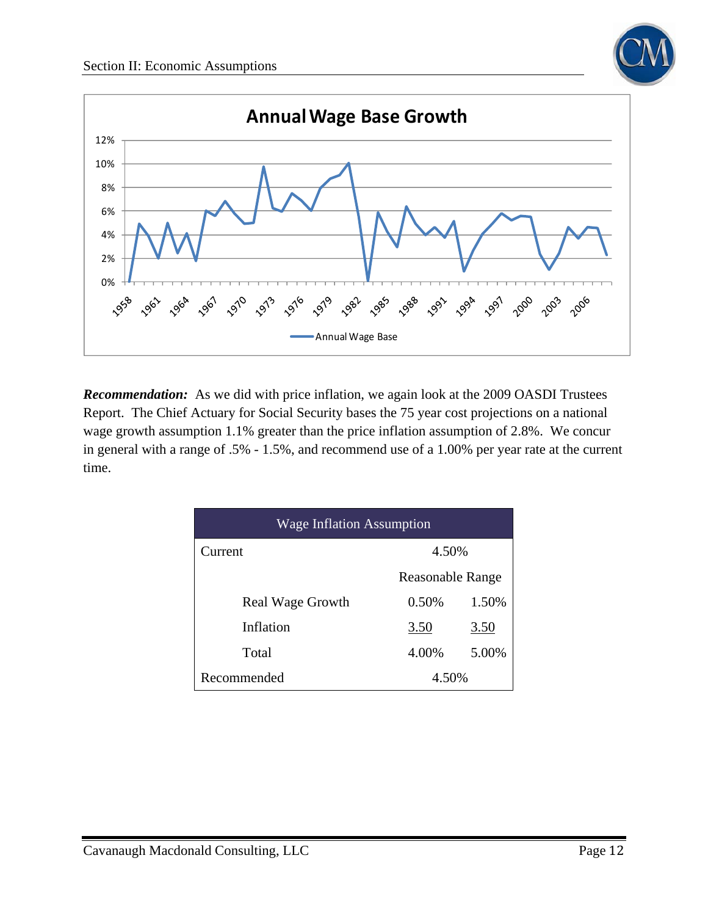



*Recommendation:* As we did with price inflation, we again look at the 2009 OASDI Trustees Report. The Chief Actuary for Social Security bases the 75 year cost projections on a national wage growth assumption 1.1% greater than the price inflation assumption of 2.8%. We concur in general with a range of .5% - 1.5%, and recommend use of a 1.00% per year rate at the current time.

| <b>Wage Inflation Assumption</b> |                         |       |  |  |  |
|----------------------------------|-------------------------|-------|--|--|--|
| 4.50%<br>Current                 |                         |       |  |  |  |
|                                  | <b>Reasonable Range</b> |       |  |  |  |
| <b>Real Wage Growth</b>          | 0.50%                   | 1.50% |  |  |  |
| Inflation                        | 3.50                    | 3.50  |  |  |  |
| Total                            | 5.00%<br>4.00%          |       |  |  |  |
| Recommended<br>4.50%             |                         |       |  |  |  |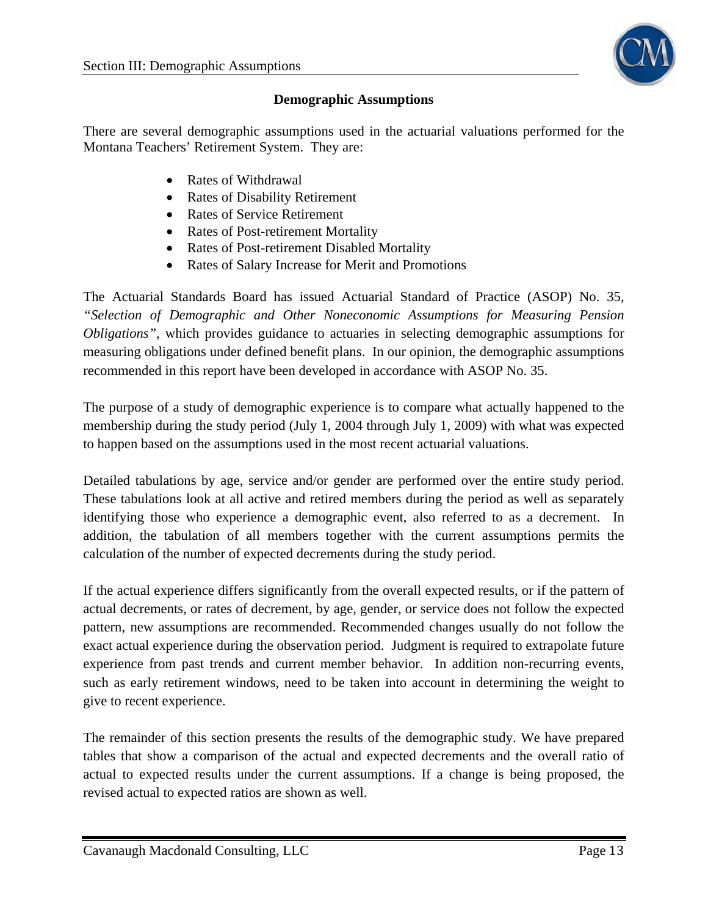

#### **Demographic Assumptions**

There are several demographic assumptions used in the actuarial valuations performed for the Montana Teachers' Retirement System. They are:

- Rates of Withdrawal
- Rates of Disability Retirement
- Rates of Service Retirement
- Rates of Post-retirement Mortality
- Rates of Post-retirement Disabled Mortality
- Rates of Salary Increase for Merit and Promotions

The Actuarial Standards Board has issued Actuarial Standard of Practice (ASOP) No. 35, *"Selection of Demographic and Other Noneconomic Assumptions for Measuring Pension Obligations"*, which provides guidance to actuaries in selecting demographic assumptions for measuring obligations under defined benefit plans. In our opinion, the demographic assumptions recommended in this report have been developed in accordance with ASOP No. 35.

The purpose of a study of demographic experience is to compare what actually happened to the membership during the study period (July 1, 2004 through July 1, 2009) with what was expected to happen based on the assumptions used in the most recent actuarial valuations.

Detailed tabulations by age, service and/or gender are performed over the entire study period. These tabulations look at all active and retired members during the period as well as separately identifying those who experience a demographic event, also referred to as a decrement. In addition, the tabulation of all members together with the current assumptions permits the calculation of the number of expected decrements during the study period.

If the actual experience differs significantly from the overall expected results, or if the pattern of actual decrements, or rates of decrement, by age, gender, or service does not follow the expected pattern, new assumptions are recommended. Recommended changes usually do not follow the exact actual experience during the observation period. Judgment is required to extrapolate future experience from past trends and current member behavior. In addition non-recurring events, such as early retirement windows, need to be taken into account in determining the weight to give to recent experience.

The remainder of this section presents the results of the demographic study. We have prepared tables that show a comparison of the actual and expected decrements and the overall ratio of actual to expected results under the current assumptions. If a change is being proposed, the revised actual to expected ratios are shown as well.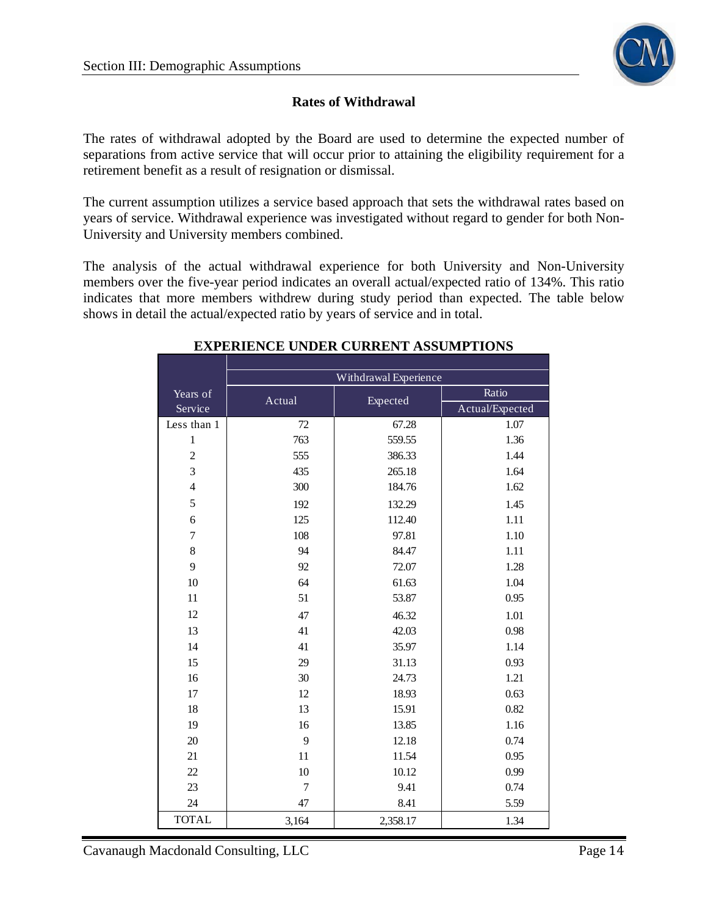

## **Rates of Withdrawal**

The rates of withdrawal adopted by the Board are used to determine the expected number of separations from active service that will occur prior to attaining the eligibility requirement for a retirement benefit as a result of resignation or dismissal.

The current assumption utilizes a service based approach that sets the withdrawal rates based on years of service. Withdrawal experience was investigated without regard to gender for both Non-University and University members combined.

The analysis of the actual withdrawal experience for both University and Non-University members over the five-year period indicates an overall actual/expected ratio of 134%. This ratio indicates that more members withdrew during study period than expected. The table below shows in detail the actual/expected ratio by years of service and in total.

|                | Withdrawal Experience |          |                 |  |  |  |  |
|----------------|-----------------------|----------|-----------------|--|--|--|--|
| Years of       | Actual                | Expected | Ratio           |  |  |  |  |
| Service        |                       |          | Actual/Expected |  |  |  |  |
| Less than 1    | 72                    | 67.28    | 1.07            |  |  |  |  |
| $\mathbf{1}$   | 763                   | 559.55   | 1.36            |  |  |  |  |
| $\sqrt{2}$     | 555                   | 386.33   | 1.44            |  |  |  |  |
| $\overline{3}$ | 435                   | 265.18   | 1.64            |  |  |  |  |
| $\overline{4}$ | 300                   | 184.76   | 1.62            |  |  |  |  |
| 5              | 192                   | 132.29   | 1.45            |  |  |  |  |
| 6              | 125                   | 112.40   | 1.11            |  |  |  |  |
| $\overline{7}$ | 108                   | 97.81    | 1.10            |  |  |  |  |
| 8              | 94                    | 84.47    | 1.11            |  |  |  |  |
| 9              | 92                    | 72.07    | 1.28            |  |  |  |  |
| 10             | 64                    | 61.63    | 1.04            |  |  |  |  |
| 11             | 51                    | 53.87    | 0.95            |  |  |  |  |
| 12             | 47                    | 46.32    | 1.01            |  |  |  |  |
| 13             | 41                    | 42.03    | 0.98            |  |  |  |  |
| 14             | 41                    | 35.97    | 1.14            |  |  |  |  |
| 15             | 29                    | 31.13    | 0.93            |  |  |  |  |
| 16             | 30                    | 24.73    | 1.21            |  |  |  |  |
| 17             | 12                    | 18.93    | 0.63            |  |  |  |  |
| 18             | 13                    | 15.91    | 0.82            |  |  |  |  |
| 19             | 16                    | 13.85    | 1.16            |  |  |  |  |
| 20             | 9                     | 12.18    | 0.74            |  |  |  |  |
| 21             | 11                    | 11.54    | 0.95            |  |  |  |  |
| 22             | 10                    | 10.12    | 0.99            |  |  |  |  |
| 23             | $\overline{7}$        | 9.41     | 0.74            |  |  |  |  |
| 24             | 47                    | 8.41     | 5.59            |  |  |  |  |
| <b>TOTAL</b>   | 3,164                 | 2,358.17 | 1.34            |  |  |  |  |

## **EXPERIENCE UNDER CURRENT ASSUMPTIONS**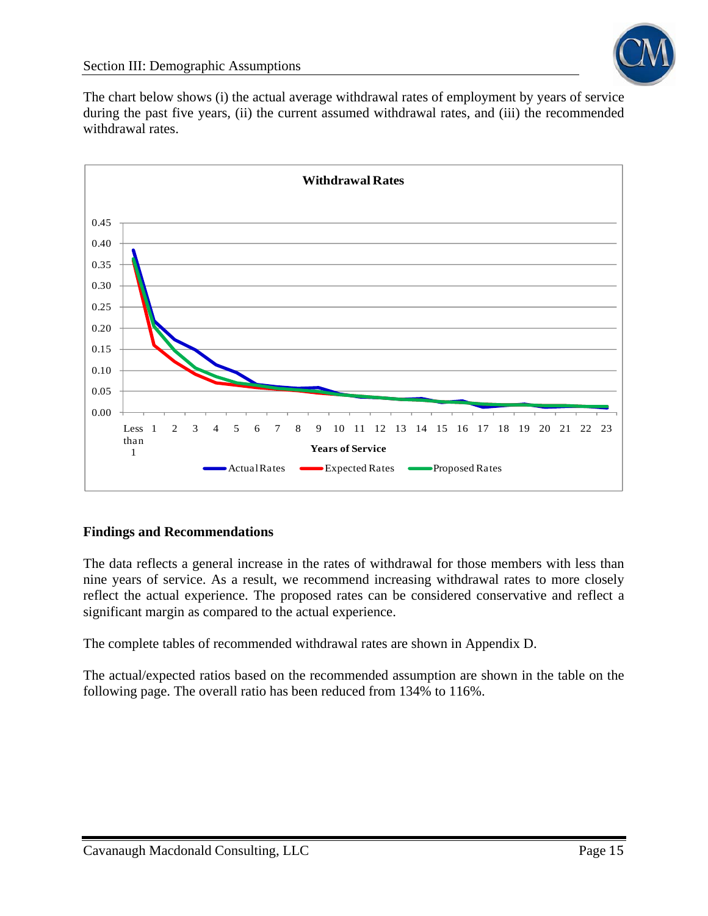The chart below shows (i) the actual average withdrawal rates of employment by years of service during the past five years, (ii) the current assumed withdrawal rates, and (iii) the recommended withdrawal rates.



#### **Findings and Recommendations**

The data reflects a general increase in the rates of withdrawal for those members with less than nine years of service. As a result, we recommend increasing withdrawal rates to more closely reflect the actual experience. The proposed rates can be considered conservative and reflect a significant margin as compared to the actual experience.

The complete tables of recommended withdrawal rates are shown in Appendix D.

The actual/expected ratios based on the recommended assumption are shown in the table on the following page. The overall ratio has been reduced from 134% to 116%.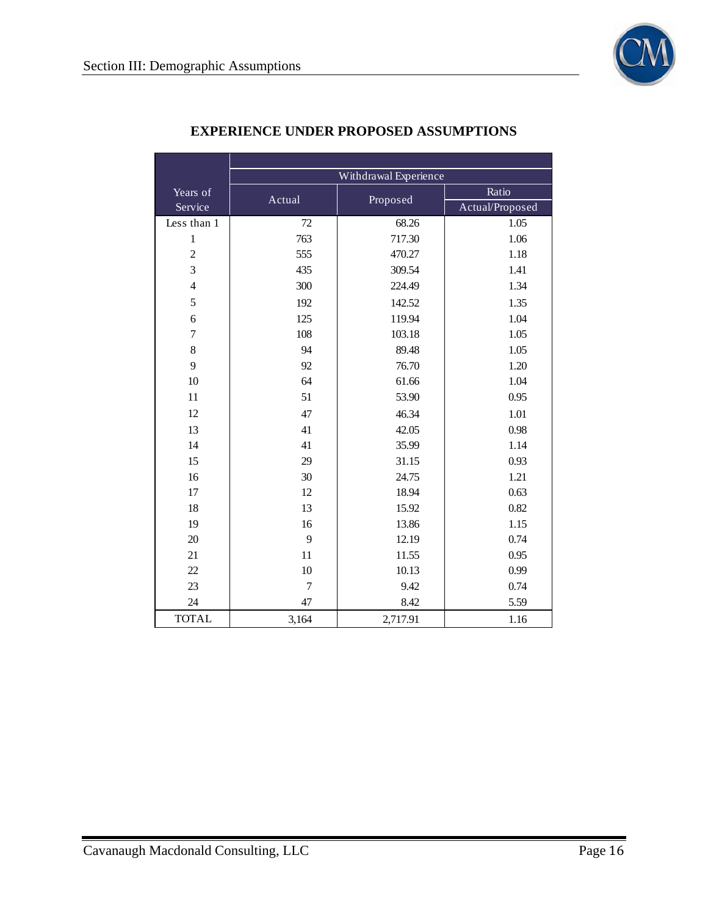

|                  |                | Withdrawal Experience |                 |  |  |
|------------------|----------------|-----------------------|-----------------|--|--|
| Years of         | Actual         | Proposed              | Ratio           |  |  |
| Service          |                |                       | Actual/Proposed |  |  |
| Less than 1      | 72             | 68.26                 | 1.05            |  |  |
| $\mathbf{1}$     | 763            | 717.30                | 1.06            |  |  |
| $\mathfrak 2$    | 555            | 470.27                | 1.18            |  |  |
| $\overline{3}$   | 435            | 309.54                | 1.41            |  |  |
| $\overline{4}$   | 300            | 224.49                | 1.34            |  |  |
| 5                | 192            | 142.52                | 1.35            |  |  |
| 6                | 125            | 119.94                | 1.04            |  |  |
| $\boldsymbol{7}$ | 108            | 103.18                | 1.05            |  |  |
| 8                | 94             | 89.48                 | 1.05            |  |  |
| 9                | 92             | 76.70                 | 1.20            |  |  |
| 10               | 64             | 61.66                 | 1.04            |  |  |
| 11               | 51             | 53.90                 | 0.95            |  |  |
| 12               | 47             | 46.34                 | 1.01            |  |  |
| 13               | 41             | 42.05                 | 0.98            |  |  |
| 14               | 41             | 35.99                 | 1.14            |  |  |
| 15               | 29             | 31.15                 | 0.93            |  |  |
| 16               | 30             | 24.75                 | 1.21            |  |  |
| 17               | 12             | 18.94                 | 0.63            |  |  |
| 18               | 13             | 15.92                 | 0.82            |  |  |
| 19               | 16             | 13.86                 | 1.15            |  |  |
| 20               | 9              | 12.19                 | 0.74            |  |  |
| 21               | 11             | 11.55                 | 0.95            |  |  |
| 22               | 10             | 10.13                 | 0.99            |  |  |
| 23               | $\overline{7}$ | 9.42                  | 0.74            |  |  |
| 24               | 47             | 8.42                  | 5.59            |  |  |
| <b>TOTAL</b>     | 3,164          | 2,717.91              | 1.16            |  |  |

## **EXPERIENCE UNDER PROPOSED ASSUMPTIONS**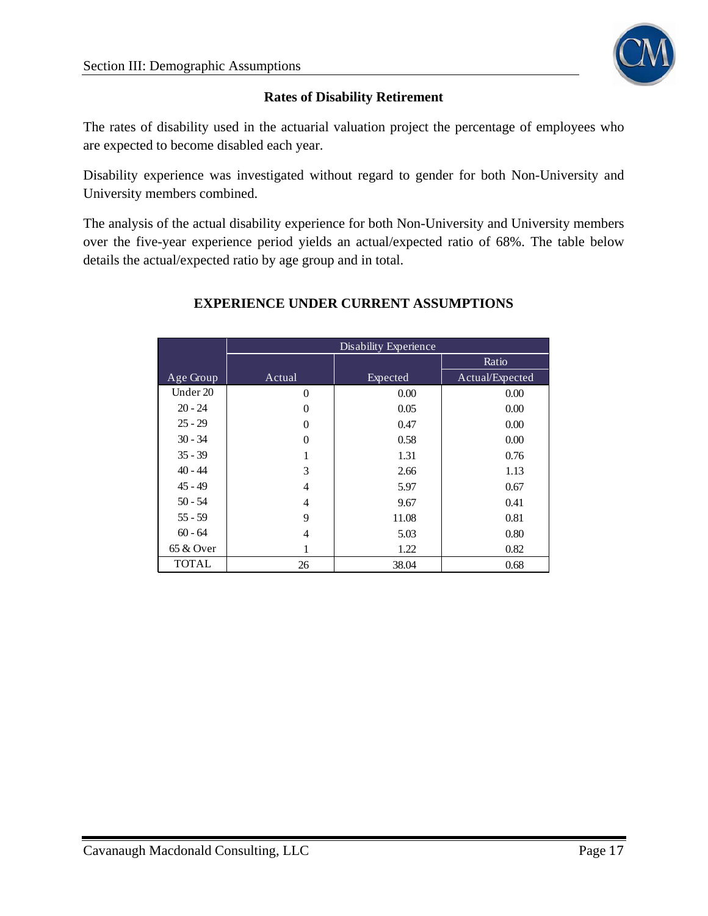

## **Rates of Disability Retirement**

The rates of disability used in the actuarial valuation project the percentage of employees who are expected to become disabled each year.

Disability experience was investigated without regard to gender for both Non-University and University members combined.

The analysis of the actual disability experience for both Non-University and University members over the five-year experience period yields an actual/expected ratio of 68%. The table below details the actual/expected ratio by age group and in total.

|              | Disability Experience |          |                 |  |  |
|--------------|-----------------------|----------|-----------------|--|--|
|              |                       |          | Ratio           |  |  |
| Age Group    | Actual                | Expected | Actual/Expected |  |  |
| Under 20     | $\overline{0}$        | 0.00     | 0.00            |  |  |
| $20 - 24$    | $\Omega$              | 0.05     | 0.00            |  |  |
| $25 - 29$    | $\theta$              | 0.47     | 0.00            |  |  |
| $30 - 34$    | $\theta$              | 0.58     | 0.00            |  |  |
| $35 - 39$    | 1                     | 1.31     | 0.76            |  |  |
| $40 - 44$    | 3                     | 2.66     | 1.13            |  |  |
| $45 - 49$    | $\overline{4}$        | 5.97     | 0.67            |  |  |
| $50 - 54$    | $\overline{4}$        | 9.67     | 0.41            |  |  |
| $55 - 59$    | 9                     | 11.08    | 0.81            |  |  |
| $60 - 64$    | $\overline{4}$        | 5.03     | 0.80            |  |  |
| 65 & Over    |                       | 1.22     | 0.82            |  |  |
| <b>TOTAL</b> | 26                    | 38.04    | 0.68            |  |  |

## **EXPERIENCE UNDER CURRENT ASSUMPTIONS**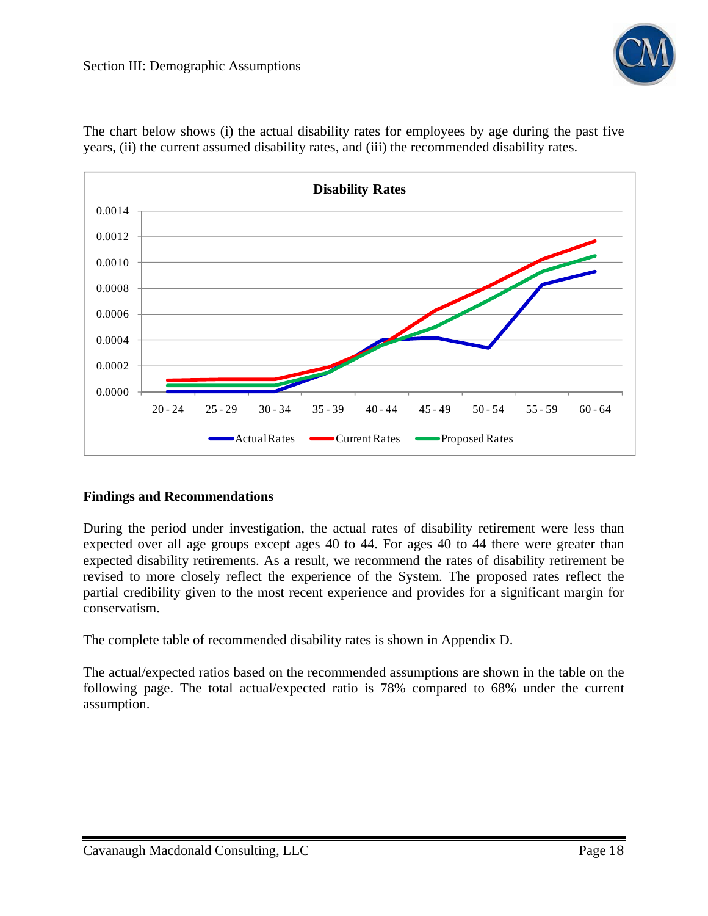



The chart below shows (i) the actual disability rates for employees by age during the past five years, (ii) the current assumed disability rates, and (iii) the recommended disability rates.

#### **Findings and Recommendations**

During the period under investigation, the actual rates of disability retirement were less than expected over all age groups except ages 40 to 44. For ages 40 to 44 there were greater than expected disability retirements. As a result, we recommend the rates of disability retirement be revised to more closely reflect the experience of the System. The proposed rates reflect the partial credibility given to the most recent experience and provides for a significant margin for conservatism.

The complete table of recommended disability rates is shown in Appendix D.

The actual/expected ratios based on the recommended assumptions are shown in the table on the following page. The total actual/expected ratio is 78% compared to 68% under the current assumption.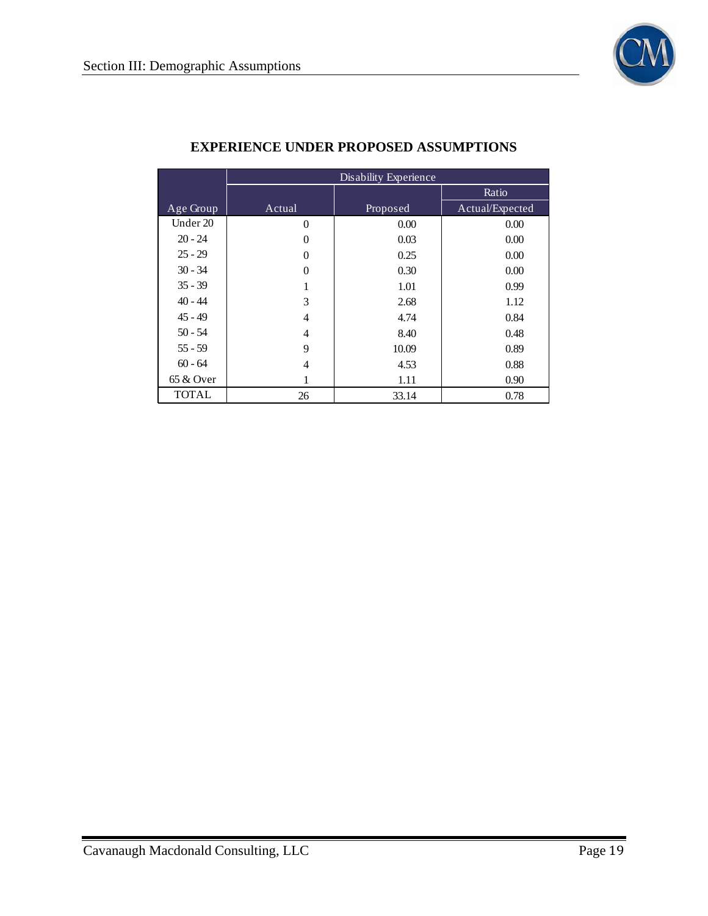

|              | Disability Experience |          |                 |  |  |  |
|--------------|-----------------------|----------|-----------------|--|--|--|
|              |                       |          | Ratio           |  |  |  |
| Age Group    | Actual                | Proposed | Actual/Expected |  |  |  |
| Under 20     | $\theta$              | 0.00     | 0.00            |  |  |  |
| $20 - 24$    | 0                     | 0.03     | 0.00            |  |  |  |
| $25 - 29$    | $\theta$              | 0.25     | 0.00            |  |  |  |
| $30 - 34$    | $\theta$              | 0.30     | 0.00            |  |  |  |
| $35 - 39$    | 1                     | 1.01     | 0.99            |  |  |  |
| $40 - 44$    | 3                     | 2.68     | 1.12            |  |  |  |
| $45 - 49$    | $\overline{4}$        | 4.74     | 0.84            |  |  |  |
| $50 - 54$    | 4                     | 8.40     | 0.48            |  |  |  |
| $55 - 59$    | 9                     | 10.09    | 0.89            |  |  |  |
| $60 - 64$    | 4                     | 4.53     | 0.88            |  |  |  |
| 65 & Over    | 1                     | 1.11     | 0.90            |  |  |  |
| <b>TOTAL</b> | 26                    | 33.14    | 0.78            |  |  |  |

## **EXPERIENCE UNDER PROPOSED ASSUMPTIONS**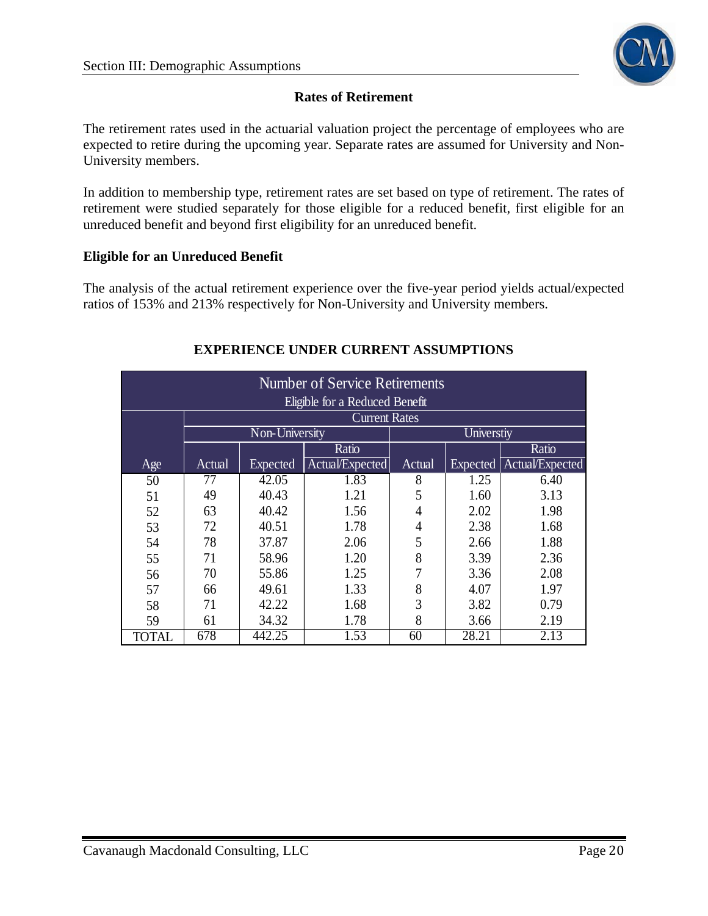

#### **Rates of Retirement**

The retirement rates used in the actuarial valuation project the percentage of employees who are expected to retire during the upcoming year. Separate rates are assumed for University and Non-University members.

In addition to membership type, retirement rates are set based on type of retirement. The rates of retirement were studied separately for those eligible for a reduced benefit, first eligible for an unreduced benefit and beyond first eligibility for an unreduced benefit.

#### **Eligible for an Unreduced Benefit**

The analysis of the actual retirement experience over the five-year period yields actual/expected ratios of 153% and 213% respectively for Non-University and University members.

| <b>Number of Service Retirements</b> |        |                 |                      |        |                 |                 |  |  |
|--------------------------------------|--------|-----------------|----------------------|--------|-----------------|-----------------|--|--|
| Eligible for a Reduced Benefit       |        |                 |                      |        |                 |                 |  |  |
|                                      |        |                 | <b>Current Rates</b> |        |                 |                 |  |  |
|                                      |        | Non-University  |                      |        | Universtiy      |                 |  |  |
|                                      |        |                 | Ratio                |        |                 | Ratio           |  |  |
| Age                                  | Actual | <b>Expected</b> | Actual/Expected      | Actual | <b>Expected</b> | Actual/Expected |  |  |
| 50                                   | 77     | 42.05           | 1.83                 | 8      | 1.25            | 6.40            |  |  |
| 51                                   | 49     | 40.43           | 1.21                 | 5      | 1.60            | 3.13            |  |  |
| 52                                   | 63     | 40.42           | 1.56                 | 4      | 2.02            | 1.98            |  |  |
| 53                                   | 72     | 40.51           | 1.78                 | 4      | 2.38            | 1.68            |  |  |
| 54                                   | 78     | 37.87           | 2.06                 | 5      | 2.66            | 1.88            |  |  |
| 55                                   | 71     | 58.96           | 1.20                 | 8      | 3.39            | 2.36            |  |  |
| 56                                   | 70     | 55.86           | 1.25                 |        | 3.36            | 2.08            |  |  |
| 57                                   | 66     | 49.61           | 1.33                 | 8      | 4.07            | 1.97            |  |  |
| 58                                   | 71     | 42.22           | 1.68                 | 3      | 3.82            | 0.79            |  |  |
| 59                                   | 61     | 34.32           | 1.78                 | 8      | 3.66            | 2.19            |  |  |
| <b>TOTAL</b>                         | 678    | 442.25          | 1.53                 | 60     | 28.21           | 2.13            |  |  |

#### **EXPERIENCE UNDER CURRENT ASSUMPTIONS**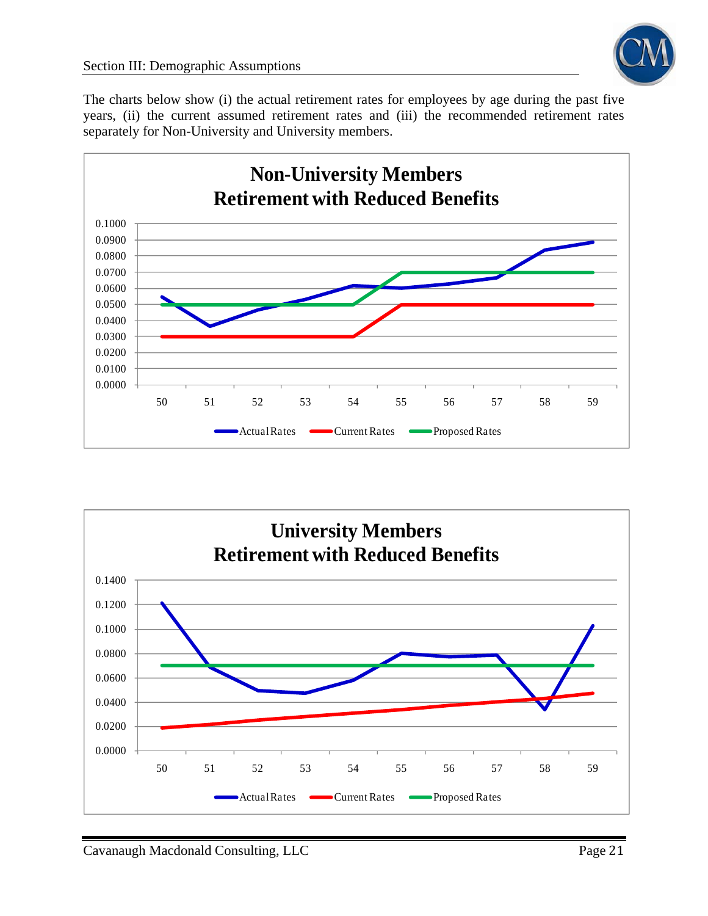

The charts below show (i) the actual retirement rates for employees by age during the past five years, (ii) the current assumed retirement rates and (iii) the recommended retirement rates separately for Non-University and University members.



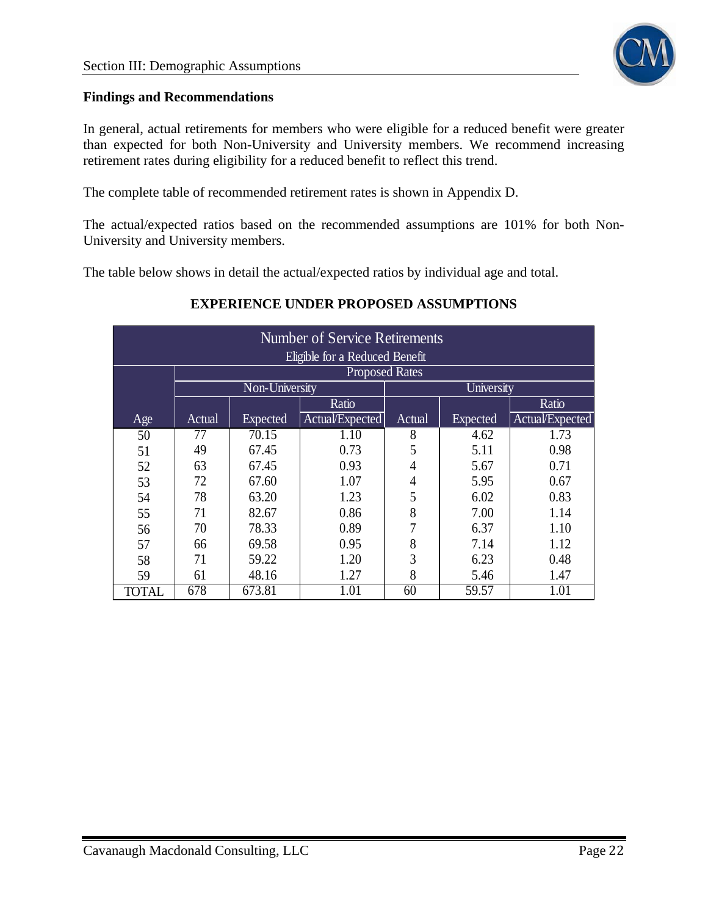

#### **Findings and Recommendations**

In general, actual retirements for members who were eligible for a reduced benefit were greater than expected for both Non-University and University members. We recommend increasing retirement rates during eligibility for a reduced benefit to reflect this trend.

The complete table of recommended retirement rates is shown in Appendix D.

The actual/expected ratios based on the recommended assumptions are 101% for both Non-University and University members.

The table below shows in detail the actual/expected ratios by individual age and total.

## **EXPERIENCE UNDER PROPOSED ASSUMPTIONS**

| <b>Number of Service Retirements</b> |        |                       |                       |                |                 |                 |  |
|--------------------------------------|--------|-----------------------|-----------------------|----------------|-----------------|-----------------|--|
| Eligible for a Reduced Benefit       |        |                       |                       |                |                 |                 |  |
|                                      |        |                       | <b>Proposed Rates</b> |                |                 |                 |  |
|                                      |        | <b>Non-University</b> |                       |                | University      |                 |  |
|                                      |        |                       | Ratio                 |                |                 | Ratio           |  |
| Age                                  | Actual | <b>Expected</b>       | Actual/Expected       | Actual         | <b>Expected</b> | Actual/Expected |  |
| 50                                   | 77     | 70.15                 | 1.10                  | 8              | 4.62            | 1.73            |  |
| 51                                   | 49     | 67.45                 | 0.73                  | 5              | 5.11            | 0.98            |  |
| 52                                   | 63     | 67.45                 | 0.93                  | $\overline{4}$ | 5.67            | 0.71            |  |
| 53                                   | 72     | 67.60                 | 1.07                  | $\overline{4}$ | 5.95            | 0.67            |  |
| 54                                   | 78     | 63.20                 | 1.23                  | 5              | 6.02            | 0.83            |  |
| 55                                   | 71     | 82.67                 | 0.86                  | 8              | 7.00            | 1.14            |  |
| 56                                   | 70     | 78.33                 | 0.89                  | 7              | 6.37            | 1.10            |  |
| 57                                   | 66     | 69.58                 | 0.95                  | 8              | 7.14            | 1.12            |  |
| 58                                   | 71     | 59.22                 | 1.20                  | 3              | 6.23            | 0.48            |  |
| 59                                   | 61     | 48.16                 | 1.27                  | 8              | 5.46            | 1.47            |  |
| TOTAL                                | 678    | 673.81                | 1.01                  | 60             | 59.57           | 1.01            |  |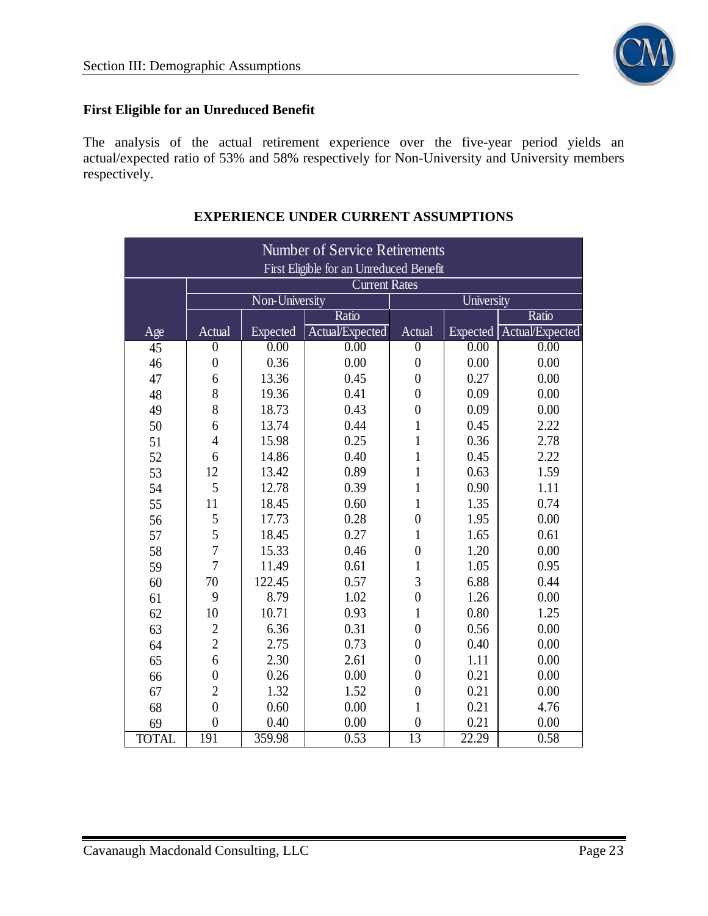

## **First Eligible for an Unreduced Benefit**

The analysis of the actual retirement experience over the five-year period yields an actual/expected ratio of 53% and 58% respectively for Non-University and University members respectively.

| <b>Number of Service Retirements</b>                            |                |                   |                                      |                  |                   |                         |
|-----------------------------------------------------------------|----------------|-------------------|--------------------------------------|------------------|-------------------|-------------------------|
| First Eligible for an Unreduced Benefit<br><b>Current Rates</b> |                |                   |                                      |                  |                   |                         |
|                                                                 |                |                   |                                      |                  |                   |                         |
|                                                                 |                | Non-University    |                                      |                  | University        |                         |
|                                                                 | Actual         | Expected          | Ratio                                | Actual           | <b>Expected</b>   | Ratio                   |
| Age<br>45                                                       | $\overline{0}$ | $\overline{0.00}$ | Actual/Expected<br>$\overline{0.00}$ | $\overline{0}$   | $\overline{0.00}$ | Actual/Expected<br>0.00 |
| 46                                                              | $\overline{0}$ | 0.36              | 0.00                                 | $\boldsymbol{0}$ | 0.00              | 0.00                    |
| 47                                                              | 6              | 13.36             | 0.45                                 | $\overline{0}$   | 0.27              | 0.00                    |
| 48                                                              | 8              | 19.36             | 0.41                                 | $\overline{0}$   | 0.09              | 0.00                    |
|                                                                 | 8              | 18.73             | 0.43                                 | $\overline{0}$   | 0.09              | 0.00                    |
| 49                                                              | 6              | 13.74             | 0.44                                 | $\mathbf{1}$     | 0.45              | 2.22                    |
| 50                                                              | $\overline{4}$ | 15.98             | 0.25                                 | $\mathbf{1}$     | 0.36              | 2.78                    |
| 51                                                              | 6              | 14.86             | 0.40                                 | $\overline{1}$   | 0.45              |                         |
| 52                                                              |                |                   |                                      |                  |                   | 2.22                    |
| 53                                                              | 12             | 13.42             | 0.89                                 | $\mathbf{1}$     | 0.63              | 1.59                    |
| 54                                                              | 5              | 12.78             | 0.39                                 | $\mathbf{1}$     | 0.90              | 1.11                    |
| 55                                                              | 11             | 18.45             | 0.60                                 | $\mathbf{1}$     | 1.35              | 0.74                    |
| 56                                                              | 5              | 17.73             | 0.28                                 | $\overline{0}$   | 1.95              | 0.00                    |
| 57                                                              | 5              | 18.45             | 0.27                                 | $\mathbf{1}$     | 1.65              | 0.61                    |
| 58                                                              | $\overline{7}$ | 15.33             | 0.46                                 | $\overline{0}$   | 1.20              | 0.00                    |
| 59                                                              | $\overline{7}$ | 11.49             | 0.61                                 | $\mathbf{1}$     | 1.05              | 0.95                    |
| 60                                                              | 70             | 122.45            | 0.57                                 | 3                | 6.88              | 0.44                    |
| 61                                                              | 9              | 8.79              | 1.02                                 | $\overline{0}$   | 1.26              | 0.00                    |
| 62                                                              | 10             | 10.71             | 0.93                                 | $\mathbf{1}$     | 0.80              | 1.25                    |
| 63                                                              | $\overline{2}$ | 6.36              | 0.31                                 | $\overline{0}$   | 0.56              | 0.00                    |
| 64                                                              | $\overline{c}$ | 2.75              | 0.73                                 | $\overline{0}$   | 0.40              | 0.00                    |
| 65                                                              | $\overline{6}$ | 2.30              | 2.61                                 | $\overline{0}$   | 1.11              | 0.00                    |
| 66                                                              | $\overline{0}$ | 0.26              | 0.00                                 | $\boldsymbol{0}$ | 0.21              | 0.00                    |
| 67                                                              | $\overline{2}$ | 1.32              | 1.52                                 | $\overline{0}$   | 0.21              | 0.00                    |
| 68                                                              | $\overline{0}$ | 0.60              | 0.00                                 | $\mathbf{1}$     | 0.21              | 4.76                    |
| 69                                                              | $\overline{0}$ | 0.40              | 0.00                                 | $\boldsymbol{0}$ | 0.21              | 0.00                    |
| <b>TOTAL</b>                                                    | 191            | 359.98            | 0.53                                 | $\overline{13}$  | 22.29             | 0.58                    |

## **EXPERIENCE UNDER CURRENT ASSUMPTIONS**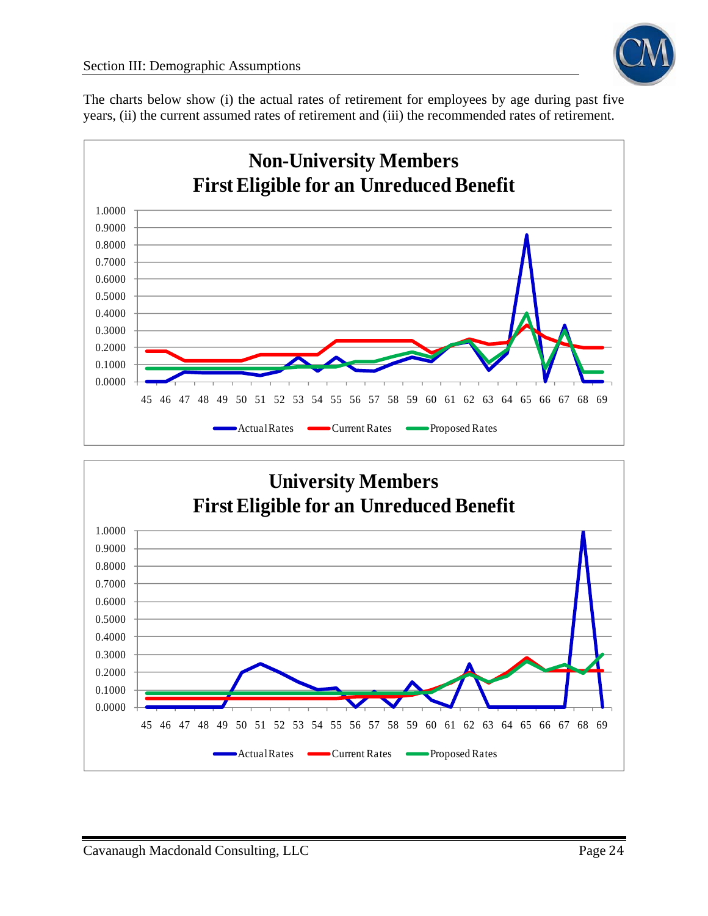

The charts below show (i) the actual rates of retirement for employees by age during past five years, (ii) the current assumed rates of retirement and (iii) the recommended rates of retirement.



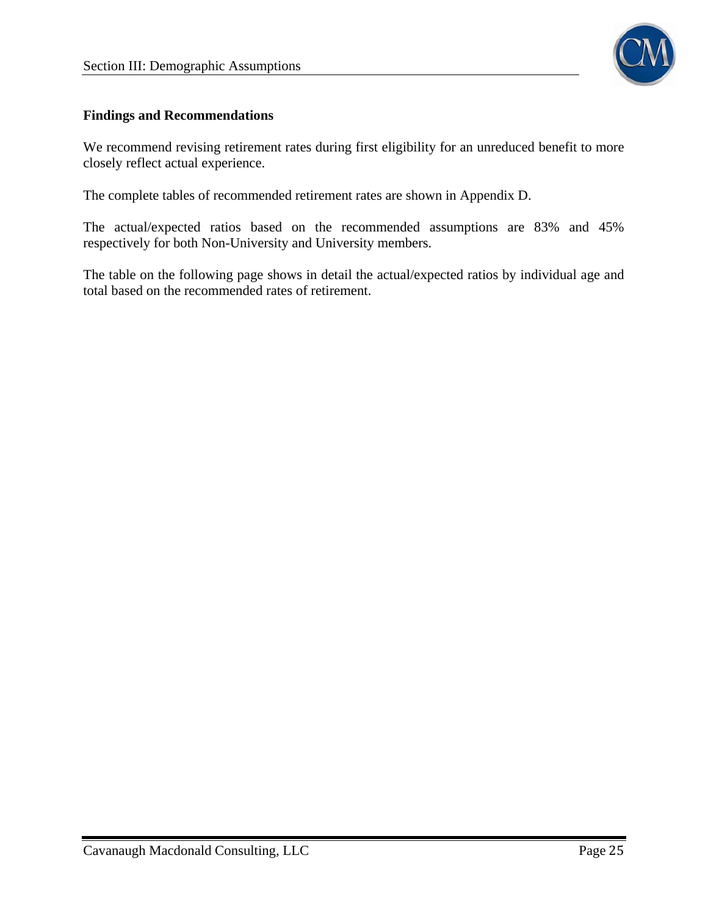

#### **Findings and Recommendations**

We recommend revising retirement rates during first eligibility for an unreduced benefit to more closely reflect actual experience.

The complete tables of recommended retirement rates are shown in Appendix D.

The actual/expected ratios based on the recommended assumptions are 83% and 45% respectively for both Non-University and University members.

The table on the following page shows in detail the actual/expected ratios by individual age and total based on the recommended rates of retirement.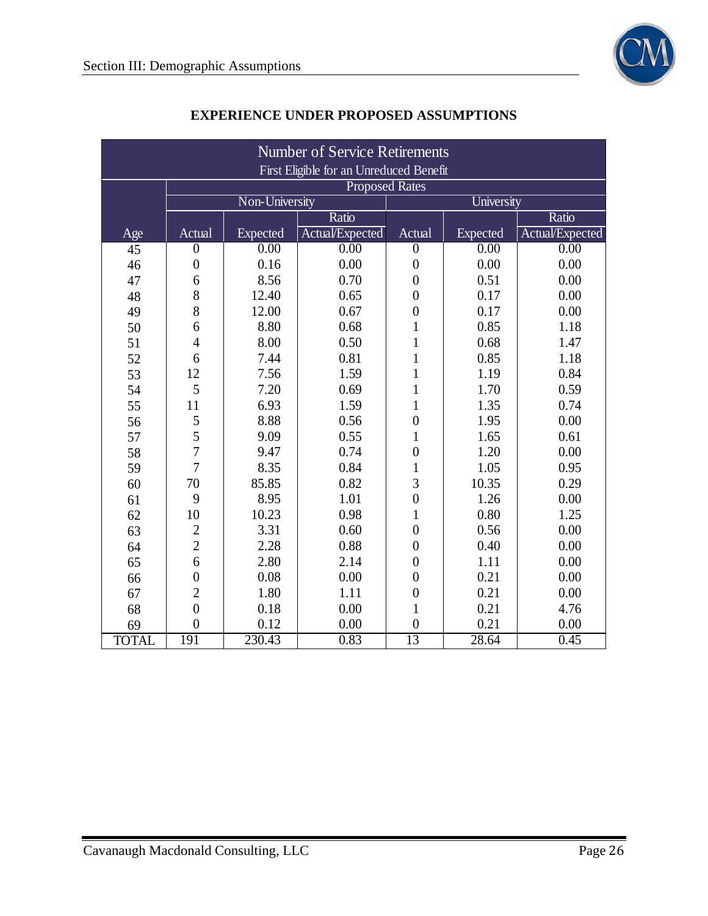| <b>Number of Service Retirements</b> |                                         |                       |                 |                  |                   |                 |  |
|--------------------------------------|-----------------------------------------|-----------------------|-----------------|------------------|-------------------|-----------------|--|
|                                      | First Eligible for an Unreduced Benefit |                       |                 |                  |                   |                 |  |
|                                      |                                         | <b>Proposed Rates</b> |                 |                  |                   |                 |  |
|                                      |                                         | Non-University        |                 |                  | University        |                 |  |
|                                      |                                         |                       | Ratio           |                  |                   | Ratio           |  |
| Age                                  | Actual                                  | Expected              | Actual/Expected | Actual           | Expected          | Actual/Expected |  |
| 45                                   | $\boldsymbol{0}$                        | $\overline{0.00}$     | 0.00            | $\boldsymbol{0}$ | $\overline{0.00}$ | 0.00            |  |
| 46                                   | $\boldsymbol{0}$                        | 0.16                  | 0.00            | $\overline{0}$   | 0.00              | 0.00            |  |
| 47                                   | 6                                       | 8.56                  | 0.70            | $\overline{0}$   | 0.51              | 0.00            |  |
| 48                                   | 8                                       | 12.40                 | 0.65            | $\boldsymbol{0}$ | 0.17              | 0.00            |  |
| 49                                   | 8                                       | 12.00                 | 0.67            | $\overline{0}$   | 0.17              | 0.00            |  |
| 50                                   | 6                                       | 8.80                  | 0.68            | $\mathbf{1}$     | 0.85              | 1.18            |  |
| 51                                   | $\overline{4}$                          | 8.00                  | 0.50            | $\mathbf{1}$     | 0.68              | 1.47            |  |
| 52                                   | 6                                       | 7.44                  | 0.81            | $\mathbf{1}$     | 0.85              | 1.18            |  |
| 53                                   | 12                                      | 7.56                  | 1.59            | $\mathbf{1}$     | 1.19              | 0.84            |  |
| 54                                   | 5                                       | 7.20                  | 0.69            | $\mathbf{1}$     | 1.70              | 0.59            |  |
| 55                                   | 11                                      | 6.93                  | 1.59            | $\mathbf{1}$     | 1.35              | 0.74            |  |
| 56                                   | 5                                       | 8.88                  | 0.56            | $\overline{0}$   | 1.95              | 0.00            |  |
| 57                                   | $\overline{5}$                          | 9.09                  | 0.55            | $\mathbf{1}$     | 1.65              | 0.61            |  |
| 58                                   | $\overline{7}$                          | 9.47                  | 0.74            | $\overline{0}$   | 1.20              | 0.00            |  |
| 59                                   | $\overline{7}$                          | 8.35                  | 0.84            | $\mathbf{1}$     | 1.05              | 0.95            |  |
| 60                                   | 70                                      | 85.85                 | 0.82            | 3                | 10.35             | 0.29            |  |
| 61                                   | 9                                       | 8.95                  | 1.01            | $\overline{0}$   | 1.26              | 0.00            |  |
| 62                                   | 10                                      | 10.23                 | 0.98            | $\mathbf{1}$     | 0.80              | 1.25            |  |
| 63                                   | $\overline{2}$                          | 3.31                  | 0.60            | $\overline{0}$   | 0.56              | 0.00            |  |
| 64                                   | $\overline{2}$                          | 2.28                  | 0.88            | $\overline{0}$   | 0.40              | 0.00            |  |
| 65                                   | 6                                       | 2.80                  | 2.14            | $\boldsymbol{0}$ | 1.11              | 0.00            |  |
| 66                                   | $\overline{0}$                          | 0.08                  | 0.00            | $\overline{0}$   | 0.21              | 0.00            |  |
| 67                                   | $\overline{c}$                          | 1.80                  | 1.11            | $\boldsymbol{0}$ | 0.21              | 0.00            |  |
| 68                                   | $\overline{0}$                          | 0.18                  | 0.00            | $\mathbf{1}$     | 0.21              | 4.76            |  |
| 69                                   | $\overline{0}$                          | 0.12                  | 0.00            | $\boldsymbol{0}$ | 0.21              | 0.00            |  |
| <b>TOTAL</b>                         | 191                                     | 230.43                | 0.83            | $\overline{13}$  | 28.64             | 0.45            |  |

## **EXPERIENCE UNDER PROPOSED ASSUMPTIONS**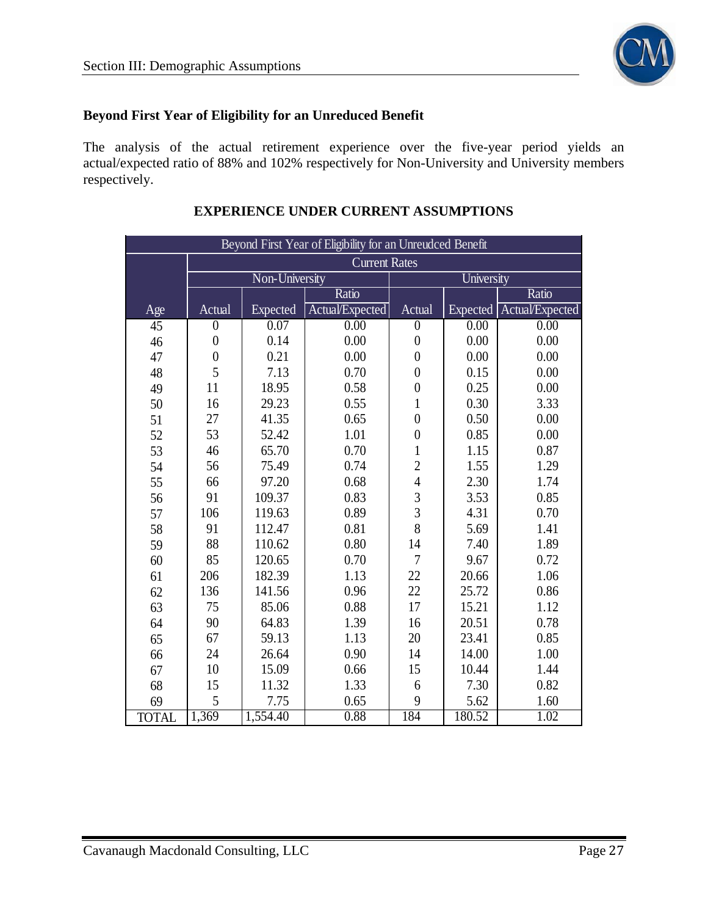

## **Beyond First Year of Eligibility for an Unreduced Benefit**

The analysis of the actual retirement experience over the five-year period yields an actual/expected ratio of 88% and 102% respectively for Non-University and University members respectively.

| Beyond First Year of Eligibility for an Unreudced Benefit |                  |                      |                 |                  |                 |                 |  |  |  |  |  |
|-----------------------------------------------------------|------------------|----------------------|-----------------|------------------|-----------------|-----------------|--|--|--|--|--|
|                                                           |                  | <b>Current Rates</b> |                 |                  |                 |                 |  |  |  |  |  |
|                                                           | Non-University   |                      |                 | University       |                 |                 |  |  |  |  |  |
|                                                           |                  |                      | Ratio           |                  |                 | Ratio           |  |  |  |  |  |
| Age                                                       | Actual           | Expected             | Actual/Expected | Actual           | <b>Expected</b> | Actual/Expected |  |  |  |  |  |
| 45                                                        | $\boldsymbol{0}$ | $\overline{0.07}$    | 0.00            | $\boldsymbol{0}$ | 0.00            | 0.00            |  |  |  |  |  |
| 46                                                        | $\boldsymbol{0}$ | 0.14                 | 0.00            | $\boldsymbol{0}$ | 0.00            | 0.00            |  |  |  |  |  |
| 47                                                        | $\boldsymbol{0}$ | 0.21                 | 0.00            | $\overline{0}$   | 0.00            | 0.00            |  |  |  |  |  |
| 48                                                        | 5                | 7.13                 | 0.70            | $\overline{0}$   | 0.15            | 0.00            |  |  |  |  |  |
| 49                                                        | 11               | 18.95                | 0.58            | $\overline{0}$   | 0.25            | 0.00            |  |  |  |  |  |
| 50                                                        | 16               | 29.23                | 0.55            | $\mathbf{1}$     | 0.30            | 3.33            |  |  |  |  |  |
| 51                                                        | 27               | 41.35                | 0.65            | $\overline{0}$   | 0.50            | 0.00            |  |  |  |  |  |
| 52                                                        | 53               | 52.42                | 1.01            | $\boldsymbol{0}$ | 0.85            | 0.00            |  |  |  |  |  |
| 53                                                        | 46               | 65.70                | 0.70            | $\mathbf{1}$     | 1.15            | 0.87            |  |  |  |  |  |
| 54                                                        | 56               | 75.49                | 0.74            | $\overline{c}$   | 1.55            | 1.29            |  |  |  |  |  |
| 55                                                        | 66               | 97.20                | 0.68            | $\overline{4}$   | 2.30            | 1.74            |  |  |  |  |  |
| 56                                                        | 91               | 109.37               | 0.83            | $\frac{3}{3}$    | 3.53            | 0.85            |  |  |  |  |  |
| 57                                                        | 106              | 119.63               | 0.89            |                  | 4.31            | 0.70            |  |  |  |  |  |
| 58                                                        | 91               | 112.47               | 0.81            | 8                | 5.69            | 1.41            |  |  |  |  |  |
| 59                                                        | 88               | 110.62               | 0.80            | 14               | 7.40            | 1.89            |  |  |  |  |  |
| 60                                                        | 85               | 120.65               | 0.70            | $\overline{7}$   | 9.67            | 0.72            |  |  |  |  |  |
| 61                                                        | 206              | 182.39               | 1.13            | 22               | 20.66           | 1.06            |  |  |  |  |  |
| 62                                                        | 136              | 141.56               | 0.96            | 22               | 25.72           | 0.86            |  |  |  |  |  |
| 63                                                        | 75               | 85.06                | 0.88            | 17               | 15.21           | 1.12            |  |  |  |  |  |
| 64                                                        | 90               | 64.83                | 1.39            | 16               | 20.51           | 0.78            |  |  |  |  |  |
| 65                                                        | 67               | 59.13                | 1.13            | 20               | 23.41           | 0.85            |  |  |  |  |  |
| 66                                                        | 24               | 26.64                | 0.90            | 14               | 14.00           | 1.00            |  |  |  |  |  |
| 67                                                        | 10               | 15.09                | 0.66            | 15               | 10.44           | 1.44            |  |  |  |  |  |
| 68                                                        | 15               | 11.32                | 1.33            | 6                | 7.30            | 0.82            |  |  |  |  |  |
| 69                                                        | 5                | 7.75                 | 0.65            | 9                | 5.62            | 1.60            |  |  |  |  |  |
| <b>TOTAL</b>                                              | 1,369            | 1,554.40             | 0.88            | 184              | 180.52          | 1.02            |  |  |  |  |  |

#### **EXPERIENCE UNDER CURRENT ASSUMPTIONS**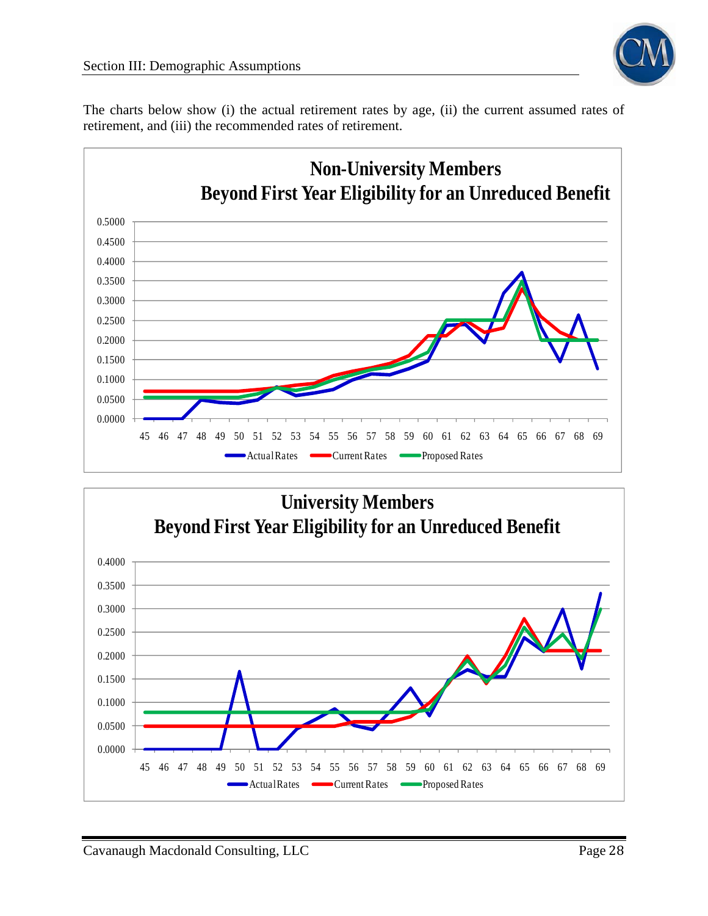

The charts below show (i) the actual retirement rates by age, (ii) the current assumed rates of retirement, and (iii) the recommended rates of retirement.



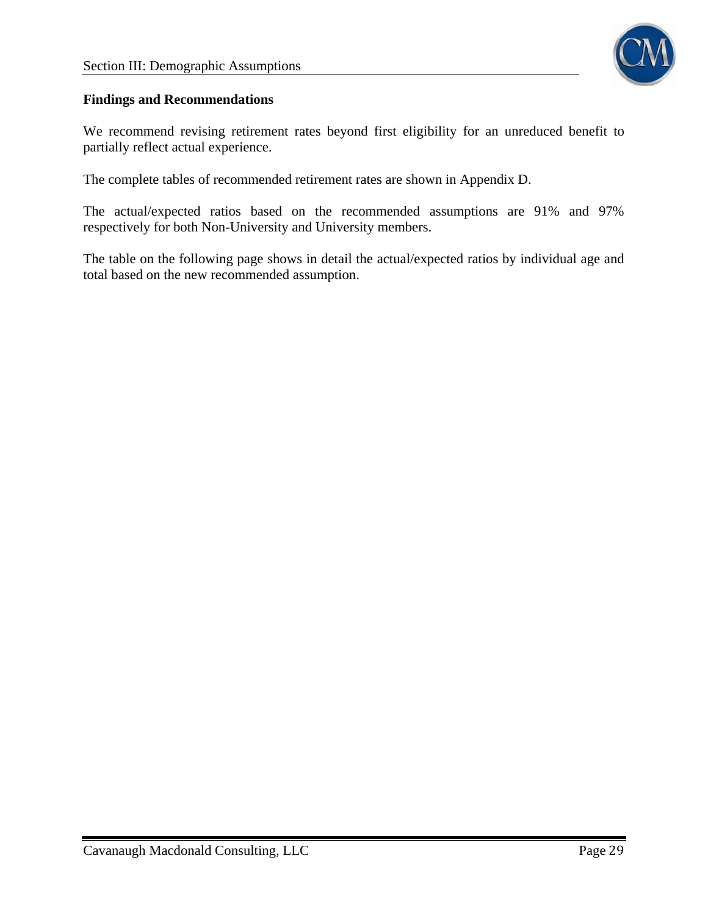

#### **Findings and Recommendations**

We recommend revising retirement rates beyond first eligibility for an unreduced benefit to partially reflect actual experience.

The complete tables of recommended retirement rates are shown in Appendix D.

The actual/expected ratios based on the recommended assumptions are 91% and 97% respectively for both Non-University and University members.

The table on the following page shows in detail the actual/expected ratios by individual age and total based on the new recommended assumption.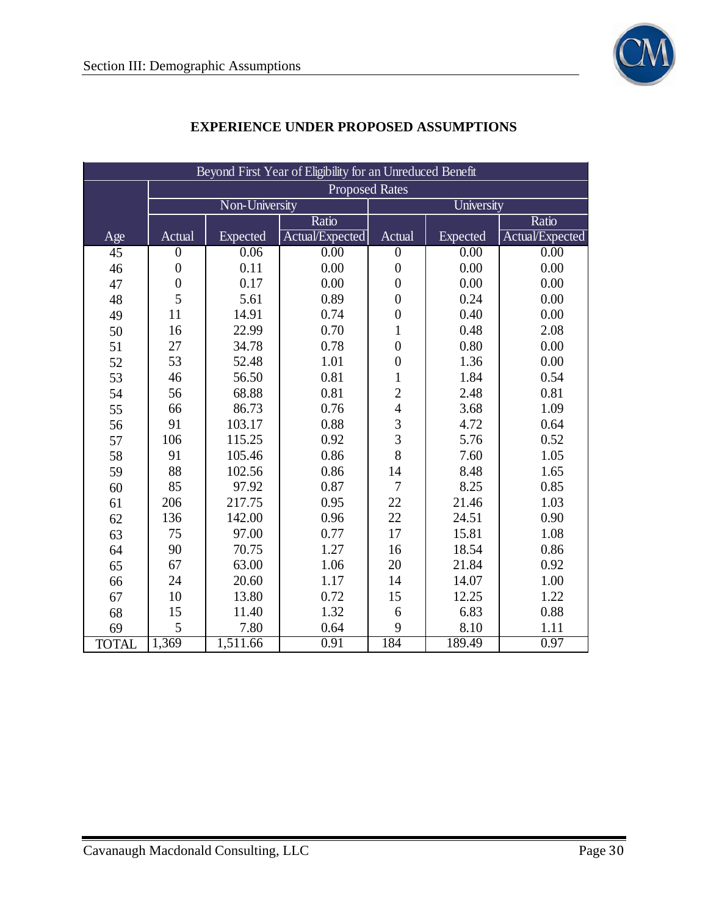

| Beyond First Year of Eligibility for an Unreduced Benefit |                       |                |                 |                                            |          |                 |  |  |  |  |
|-----------------------------------------------------------|-----------------------|----------------|-----------------|--------------------------------------------|----------|-----------------|--|--|--|--|
|                                                           | <b>Proposed Rates</b> |                |                 |                                            |          |                 |  |  |  |  |
|                                                           |                       | Non-University |                 | University                                 |          |                 |  |  |  |  |
|                                                           |                       |                | Ratio           |                                            |          | Ratio           |  |  |  |  |
| Age                                                       | Actual                | Expected       | Actual/Expected | Actual                                     | Expected | Actual/Expected |  |  |  |  |
| $\overline{45}$                                           | $\overline{0}$        | 0.06           | 0.00            | $\overline{0}$                             | 0.00     | 0.00            |  |  |  |  |
| 46                                                        | $\boldsymbol{0}$      | 0.11           | 0.00            | $\boldsymbol{0}$                           | 0.00     | 0.00            |  |  |  |  |
| 47                                                        | $\boldsymbol{0}$      | 0.17           | 0.00            | $\boldsymbol{0}$                           | 0.00     | 0.00            |  |  |  |  |
| 48                                                        | 5                     | 5.61           | 0.89            | $\boldsymbol{0}$                           | 0.24     | 0.00            |  |  |  |  |
| 49                                                        | 11                    | 14.91          | 0.74            | $\boldsymbol{0}$                           | 0.40     | 0.00            |  |  |  |  |
| 50                                                        | 16                    | 22.99          | 0.70            | $\mathbf{1}$                               | 0.48     | 2.08            |  |  |  |  |
| 51                                                        | 27                    | 34.78          | 0.78            | $\boldsymbol{0}$                           | 0.80     | 0.00            |  |  |  |  |
| 52                                                        | 53                    | 52.48          | 1.01            | $\boldsymbol{0}$                           | 1.36     | 0.00            |  |  |  |  |
| 53                                                        | 46                    | 56.50          | 0.81            | $\mathbbm{1}$                              | 1.84     | 0.54            |  |  |  |  |
| 54                                                        | 56                    | 68.88          | 0.81            |                                            | 2.48     | 0.81            |  |  |  |  |
| 55                                                        | 66                    | 86.73          | 0.76            | $\frac{2}{4}$                              | 3.68     | 1.09            |  |  |  |  |
| 56                                                        | 91                    | 103.17         | 0.88            |                                            | 4.72     | 0.64            |  |  |  |  |
| 57                                                        | 106                   | 115.25         | 0.92            | $\begin{array}{c} 3 \\ 3 \\ 8 \end{array}$ | 5.76     | 0.52            |  |  |  |  |
| 58                                                        | 91                    | 105.46         | 0.86            |                                            | 7.60     | 1.05            |  |  |  |  |
| 59                                                        | 88                    | 102.56         | 0.86            | 14                                         | 8.48     | 1.65            |  |  |  |  |
| 60                                                        | 85                    | 97.92          | 0.87            | $\overline{7}$                             | 8.25     | 0.85            |  |  |  |  |
| 61                                                        | 206                   | 217.75         | 0.95            | 22                                         | 21.46    | 1.03            |  |  |  |  |
| 62                                                        | 136                   | 142.00         | 0.96            | 22                                         | 24.51    | 0.90            |  |  |  |  |
| 63                                                        | 75                    | 97.00          | 0.77            | 17                                         | 15.81    | 1.08            |  |  |  |  |
| 64                                                        | 90                    | 70.75          | 1.27            | 16                                         | 18.54    | 0.86            |  |  |  |  |
| 65                                                        | 67                    | 63.00          | 1.06            | 20                                         | 21.84    | 0.92            |  |  |  |  |
| 66                                                        | 24                    | 20.60          | 1.17            | 14                                         | 14.07    | 1.00            |  |  |  |  |
| 67                                                        | 10                    | 13.80          | 0.72            | 15                                         | 12.25    | 1.22            |  |  |  |  |
| 68                                                        | 15                    | 11.40          | 1.32            | 6                                          | 6.83     | 0.88            |  |  |  |  |
| 69                                                        | 5                     | 7.80           | 0.64            | 9                                          | 8.10     | 1.11            |  |  |  |  |
| <b>TOTAL</b>                                              | 1,369                 | 1,511.66       | 0.91            | 184                                        | 189.49   | 0.97            |  |  |  |  |

## **EXPERIENCE UNDER PROPOSED ASSUMPTIONS**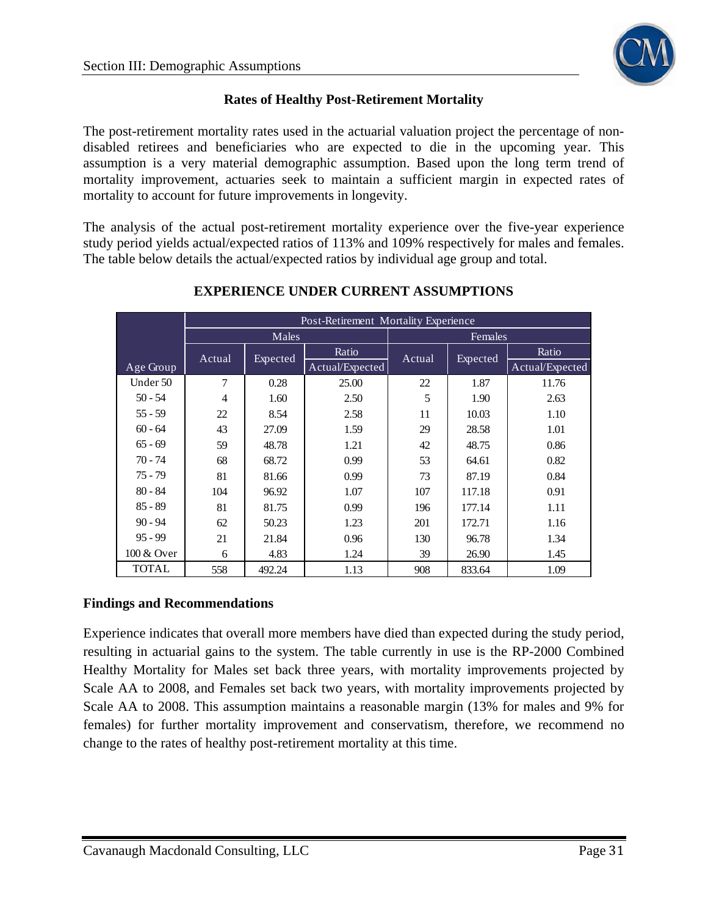

## **Rates of Healthy Post-Retirement Mortality**

The post-retirement mortality rates used in the actuarial valuation project the percentage of nondisabled retirees and beneficiaries who are expected to die in the upcoming year. This assumption is a very material demographic assumption. Based upon the long term trend of mortality improvement, actuaries seek to maintain a sufficient margin in expected rates of mortality to account for future improvements in longevity.

The analysis of the actual post-retirement mortality experience over the five-year experience study period yields actual/expected ratios of 113% and 109% respectively for males and females. The table below details the actual/expected ratios by individual age group and total.

|              |        |          |                 | Post-Retirement Mortality Experience |          |                 |  |
|--------------|--------|----------|-----------------|--------------------------------------|----------|-----------------|--|
|              | Males  |          |                 |                                      | Females  |                 |  |
|              | Actual |          | Ratio           | Actual                               |          | Ratio           |  |
| Age Group    |        | Expected | Actual/Expected |                                      | Expected | Actual/Expected |  |
| Under 50     | 7      | 0.28     | 25.00           | 22                                   | 1.87     | 11.76           |  |
| $50 - 54$    | 4      | 1.60     | 2.50            | 5                                    | 1.90     | 2.63            |  |
| $55 - 59$    | 22     | 8.54     | 2.58            | 11                                   | 10.03    | 1.10            |  |
| $60 - 64$    | 43     | 27.09    | 1.59            | 29                                   | 28.58    | 1.01            |  |
| $65 - 69$    | 59     | 48.78    | 1.21            | 42                                   | 48.75    | 0.86            |  |
| $70 - 74$    | 68     | 68.72    | 0.99            | 53                                   | 64.61    | 0.82            |  |
| $75 - 79$    | 81     | 81.66    | 0.99            | 73                                   | 87.19    | 0.84            |  |
| $80 - 84$    | 104    | 96.92    | 1.07            | 107                                  | 117.18   | 0.91            |  |
| $85 - 89$    | 81     | 81.75    | 0.99            | 196                                  | 177.14   | 1.11            |  |
| $90 - 94$    | 62     | 50.23    | 1.23            | 201                                  | 172.71   | 1.16            |  |
| $95 - 99$    | 21     | 21.84    | 0.96            | 130                                  | 96.78    | 1.34            |  |
| 100 & Over   | 6      | 4.83     | 1.24            | 39                                   | 26.90    | 1.45            |  |
| <b>TOTAL</b> | 558    | 492.24   | 1.13            | 908                                  | 833.64   | 1.09            |  |

## **EXPERIENCE UNDER CURRENT ASSUMPTIONS**

#### **Findings and Recommendations**

Experience indicates that overall more members have died than expected during the study period, resulting in actuarial gains to the system. The table currently in use is the RP-2000 Combined Healthy Mortality for Males set back three years, with mortality improvements projected by Scale AA to 2008, and Females set back two years, with mortality improvements projected by Scale AA to 2008. This assumption maintains a reasonable margin (13% for males and 9% for females) for further mortality improvement and conservatism, therefore, we recommend no change to the rates of healthy post-retirement mortality at this time.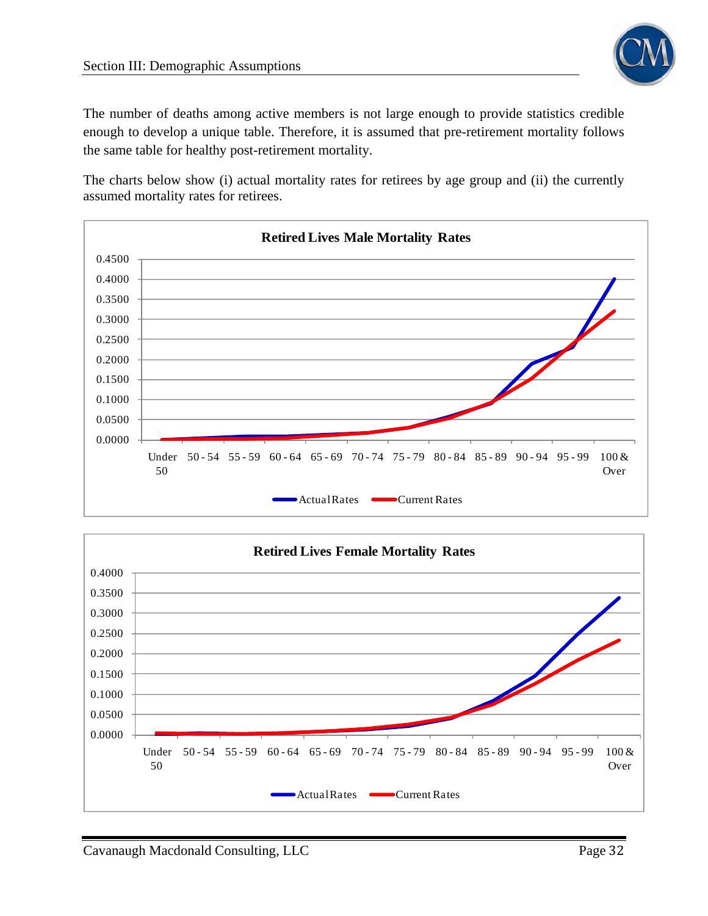

The number of deaths among active members is not large enough to provide statistics credible enough to develop a unique table. Therefore, it is assumed that pre-retirement mortality follows the same table for healthy post-retirement mortality.

The charts below show (i) actual mortality rates for retirees by age group and (ii) the currently assumed mortality rates for retirees.



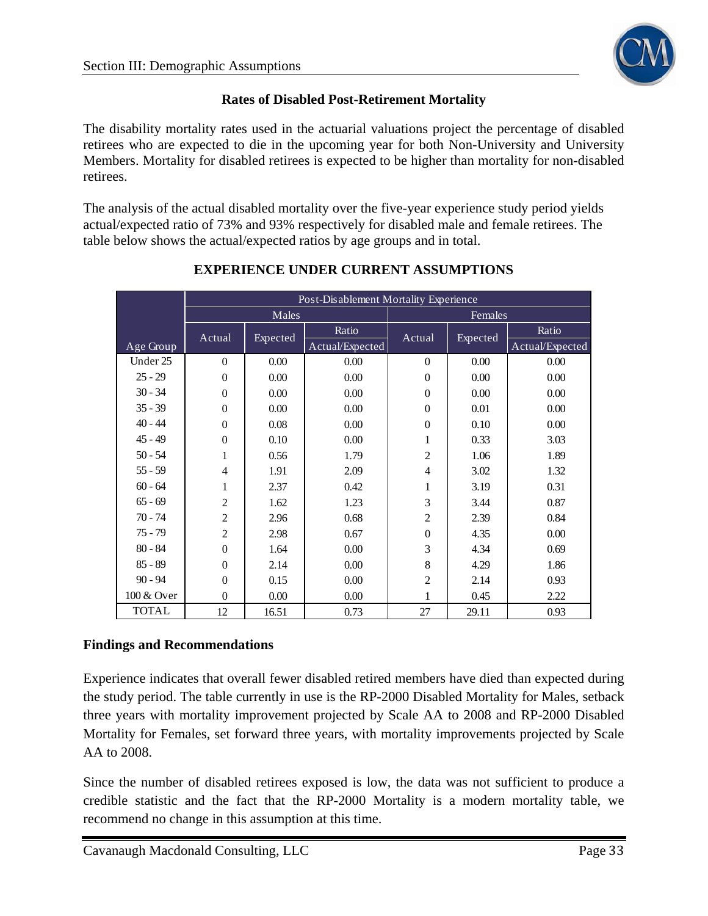

## **Rates of Disabled Post-Retirement Mortality**

The disability mortality rates used in the actuarial valuations project the percentage of disabled retirees who are expected to die in the upcoming year for both Non-University and University Members. Mortality for disabled retirees is expected to be higher than mortality for non-disabled retirees.

The analysis of the actual disabled mortality over the five-year experience study period yields actual/expected ratio of 73% and 93% respectively for disabled male and female retirees. The table below shows the actual/expected ratios by age groups and in total.

|              | Post-Disablement Mortality Experience |          |                 |                |          |                 |  |  |
|--------------|---------------------------------------|----------|-----------------|----------------|----------|-----------------|--|--|
|              |                                       | Males    |                 | Females        |          |                 |  |  |
|              | Actual                                | Expected | Ratio           | Actual         | Expected | Ratio           |  |  |
| Age Group    |                                       |          | Actual/Expected |                |          | Actual/Expected |  |  |
| Under 25     | $\theta$                              | 0.00     | 0.00            | $\overline{0}$ | 0.00     | 0.00            |  |  |
| $25 - 29$    | $\overline{0}$                        | 0.00     | 0.00            | $\overline{0}$ | 0.00     | 0.00            |  |  |
| $30 - 34$    | $\Omega$                              | 0.00     | 0.00            | $\theta$       | 0.00     | 0.00            |  |  |
| $35 - 39$    | $\theta$                              | 0.00     | 0.00            | $\theta$       | 0.01     | 0.00            |  |  |
| $40 - 44$    | $\theta$                              | 0.08     | 0.00            | $\theta$       | 0.10     | 0.00            |  |  |
| $45 - 49$    | $\theta$                              | 0.10     | 0.00            | 1              | 0.33     | 3.03            |  |  |
| $50 - 54$    | 1                                     | 0.56     | 1.79            | $\overline{c}$ | 1.06     | 1.89            |  |  |
| $55 - 59$    | $\overline{4}$                        | 1.91     | 2.09            | $\overline{4}$ | 3.02     | 1.32            |  |  |
| $60 - 64$    | 1                                     | 2.37     | 0.42            | 1              | 3.19     | 0.31            |  |  |
| $65 - 69$    | $\overline{2}$                        | 1.62     | 1.23            | 3              | 3.44     | 0.87            |  |  |
| $70 - 74$    | $\overline{2}$                        | 2.96     | 0.68            | $\overline{c}$ | 2.39     | 0.84            |  |  |
| $75 - 79$    | $\overline{c}$                        | 2.98     | 0.67            | $\theta$       | 4.35     | 0.00            |  |  |
| $80 - 84$    | $\theta$                              | 1.64     | 0.00            | 3              | 4.34     | 0.69            |  |  |
| $85 - 89$    | $\theta$                              | 2.14     | 0.00            | 8              | 4.29     | 1.86            |  |  |
| $90 - 94$    | $\mathbf{0}$                          | 0.15     | 0.00            | $\overline{2}$ | 2.14     | 0.93            |  |  |
| 100 & Over   | $\mathbf{0}$                          | 0.00     | 0.00            | 1              | 0.45     | 2.22            |  |  |
| <b>TOTAL</b> | 12                                    | 16.51    | 0.73            | 27             | 29.11    | 0.93            |  |  |

## **EXPERIENCE UNDER CURRENT ASSUMPTIONS**

## **Findings and Recommendations**

Experience indicates that overall fewer disabled retired members have died than expected during the study period. The table currently in use is the RP-2000 Disabled Mortality for Males, setback three years with mortality improvement projected by Scale AA to 2008 and RP-2000 Disabled Mortality for Females, set forward three years, with mortality improvements projected by Scale AA to 2008.

Since the number of disabled retirees exposed is low, the data was not sufficient to produce a credible statistic and the fact that the RP-2000 Mortality is a modern mortality table, we recommend no change in this assumption at this time.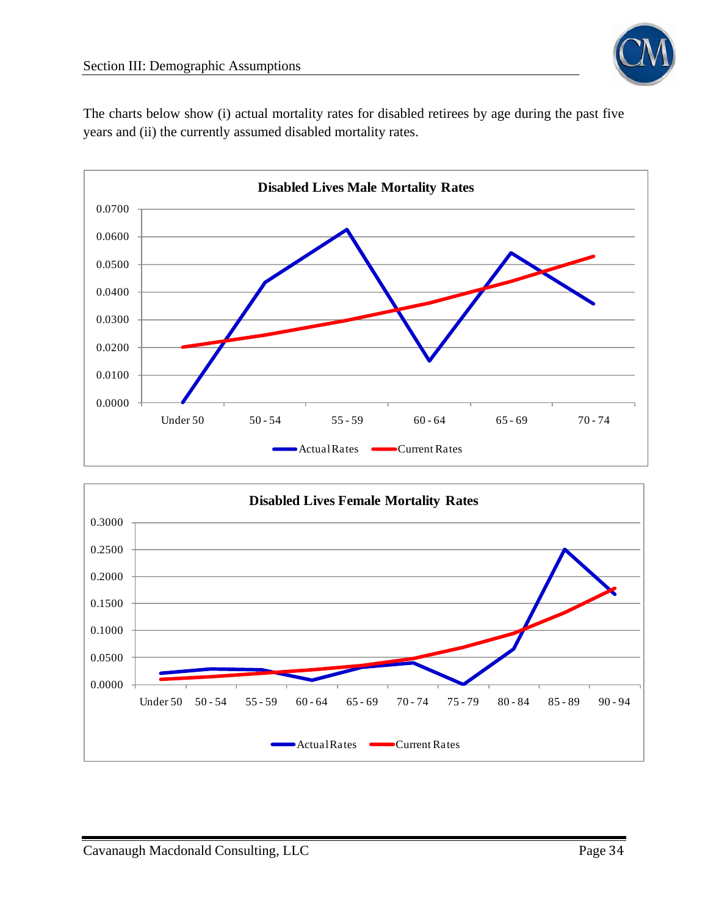

The charts below show (i) actual mortality rates for disabled retirees by age during the past five years and (ii) the currently assumed disabled mortality rates.



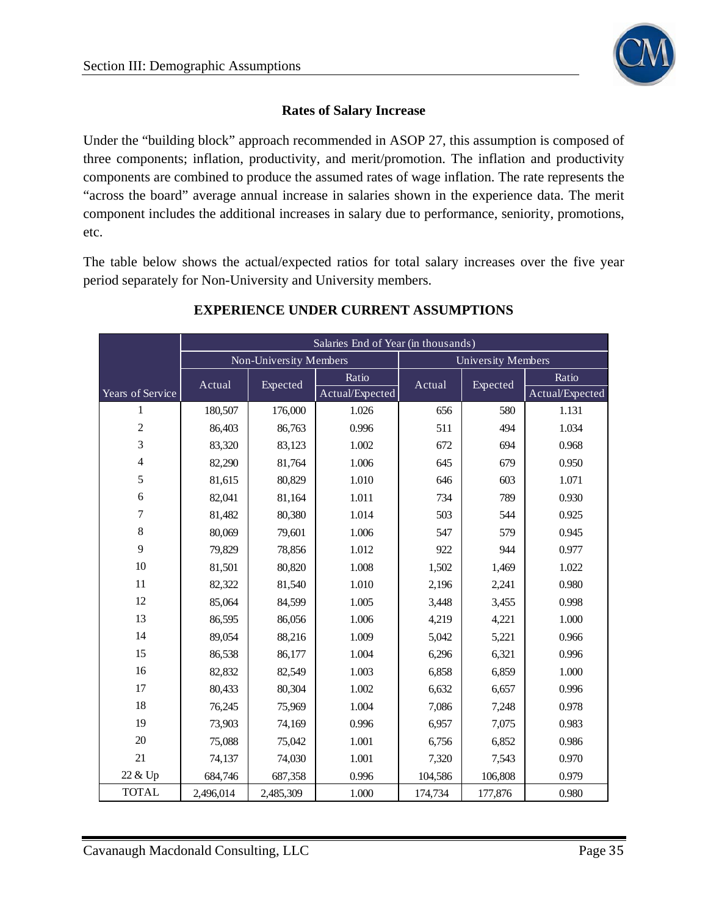

#### **Rates of Salary Increase**

Under the "building block" approach recommended in ASOP 27, this assumption is composed of three components; inflation, productivity, and merit/promotion. The inflation and productivity components are combined to produce the assumed rates of wage inflation. The rate represents the "across the board" average annual increase in salaries shown in the experience data. The merit component includes the additional increases in salary due to performance, seniority, promotions, etc.

The table below shows the actual/expected ratios for total salary increases over the five year period separately for Non-University and University members.

|                  | Salaries End of Year (in thousands) |           |                 |                           |          |                 |  |  |
|------------------|-------------------------------------|-----------|-----------------|---------------------------|----------|-----------------|--|--|
|                  | Non-University Members              |           |                 | <b>University Members</b> |          |                 |  |  |
|                  | Actual                              | Expected  | Ratio           | Actual                    | Expected | Ratio           |  |  |
| Years of Service |                                     |           | Actual/Expected |                           |          | Actual/Expected |  |  |
| 1                | 180,507                             | 176,000   | 1.026           | 656                       | 580      | 1.131           |  |  |
| $\boldsymbol{2}$ | 86,403                              | 86,763    | 0.996           | 511                       | 494      | 1.034           |  |  |
| 3                | 83,320                              | 83,123    | 1.002           | 672                       | 694      | 0.968           |  |  |
| $\overline{4}$   | 82,290                              | 81,764    | 1.006           | 645                       | 679      | 0.950           |  |  |
| 5                | 81,615                              | 80,829    | 1.010           | 646                       | 603      | 1.071           |  |  |
| 6                | 82,041                              | 81,164    | 1.011           | 734                       | 789      | 0.930           |  |  |
| $\tau$           | 81,482                              | 80,380    | 1.014           | 503                       | 544      | 0.925           |  |  |
| $8\,$            | 80,069                              | 79,601    | 1.006           | 547                       | 579      | 0.945           |  |  |
| 9                | 79,829                              | 78,856    | 1.012           | 922                       | 944      | 0.977           |  |  |
| 10               | 81,501                              | 80,820    | 1.008           | 1,502                     | 1,469    | 1.022           |  |  |
| 11               | 82,322                              | 81,540    | 1.010           | 2,196                     | 2,241    | 0.980           |  |  |
| 12               | 85,064                              | 84,599    | 1.005           | 3,448                     | 3,455    | 0.998           |  |  |
| 13               | 86,595                              | 86,056    | 1.006           | 4,219                     | 4,221    | 1.000           |  |  |
| 14               | 89,054                              | 88,216    | 1.009           | 5,042                     | 5,221    | 0.966           |  |  |
| 15               | 86,538                              | 86,177    | 1.004           | 6,296                     | 6,321    | 0.996           |  |  |
| 16               | 82,832                              | 82,549    | 1.003           | 6,858                     | 6,859    | 1.000           |  |  |
| 17               | 80,433                              | 80,304    | 1.002           | 6,632                     | 6,657    | 0.996           |  |  |
| 18               | 76,245                              | 75,969    | 1.004           | 7,086                     | 7,248    | 0.978           |  |  |
| 19               | 73,903                              | 74,169    | 0.996           | 6,957                     | 7,075    | 0.983           |  |  |
| 20               | 75,088                              | 75,042    | 1.001           | 6,756                     | 6,852    | 0.986           |  |  |
| 21               | 74,137                              | 74,030    | 1.001           | 7,320                     | 7,543    | 0.970           |  |  |
| 22 & Up          | 684,746                             | 687,358   | 0.996           | 104,586                   | 106,808  | 0.979           |  |  |
| <b>TOTAL</b>     | 2,496,014                           | 2,485,309 | 1.000           | 174,734                   | 177,876  | 0.980           |  |  |

## **EXPERIENCE UNDER CURRENT ASSUMPTIONS**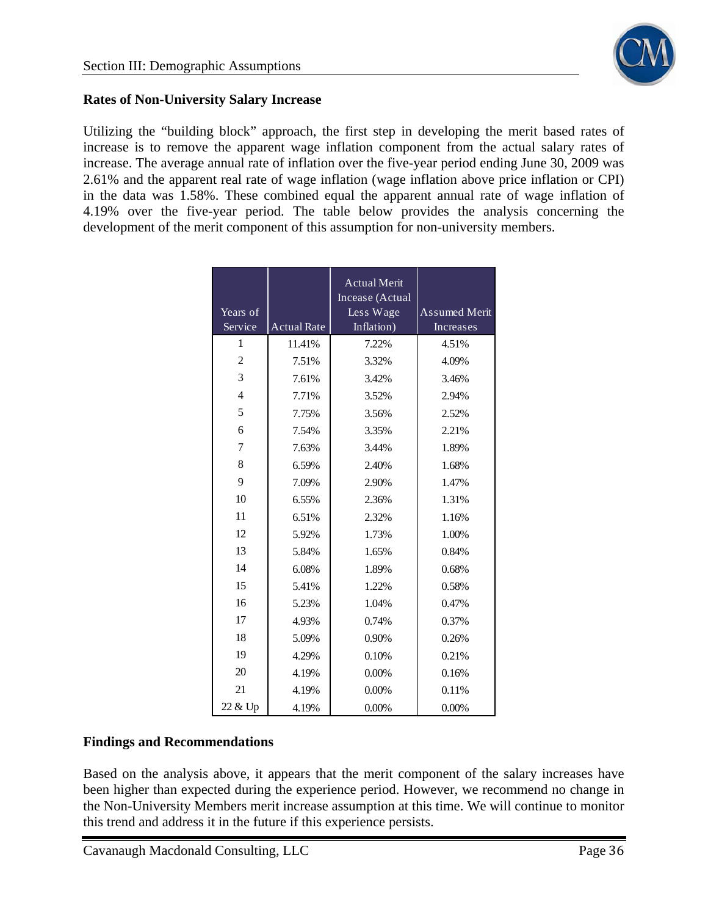## **Rates of Non-University Salary Increase**

Utilizing the "building block" approach, the first step in developing the merit based rates of increase is to remove the apparent wage inflation component from the actual salary rates of increase. The average annual rate of inflation over the five-year period ending June 30, 2009 was 2.61% and the apparent real rate of wage inflation (wage inflation above price inflation or CPI) in the data was 1.58%. These combined equal the apparent annual rate of wage inflation of 4.19% over the five-year period. The table below provides the analysis concerning the development of the merit component of this assumption for non-university members.

| Years of<br>Service | <b>Actual Rate</b> | <b>Actual Merit</b><br>Incease (Actual<br>Less Wage<br>Inflation) | <b>Assumed Merit</b><br>Increases |
|---------------------|--------------------|-------------------------------------------------------------------|-----------------------------------|
| 1                   | 11.41%             | 7.22%                                                             | 4.51%                             |
| $\overline{c}$      | 7.51%              | 3.32%                                                             | 4.09%                             |
| 3                   | 7.61%              | 3.42%                                                             | 3.46%                             |
| $\overline{4}$      | 7.71%              | 3.52%                                                             | 2.94%                             |
| 5                   | 7.75%              | 3.56%                                                             | 2.52%                             |
| 6                   | 7.54%              | 3.35%                                                             | 2.21%                             |
| 7                   | 7.63%              | 3.44%                                                             | 1.89%                             |
| 8                   | 6.59%              | 2.40%                                                             | 1.68%                             |
| 9                   | 7.09%              | 2.90%                                                             | 1.47%                             |
| 10                  | 6.55%              | 2.36%                                                             | 1.31%                             |
| 11                  | 6.51%              | 2.32%                                                             | 1.16%                             |
| 12                  | 5.92%              | 1.73%                                                             | 1.00%                             |
| 13                  | 5.84%              | 1.65%                                                             | 0.84%                             |
| 14                  | 6.08%              | 1.89%                                                             | 0.68%                             |
| 15                  | 5.41%              | 1.22%                                                             | 0.58%                             |
| 16                  | 5.23%              | 1.04%                                                             | 0.47%                             |
| 17                  | 4.93%              | 0.74%                                                             | 0.37%                             |
| 18                  | 5.09%              | 0.90%                                                             | 0.26%                             |
| 19                  | 4.29%              | 0.10%                                                             | 0.21%                             |
| 20                  | 4.19%              | 0.00%                                                             | 0.16%                             |
| 21                  | 4.19%              | 0.00%                                                             | 0.11%                             |
| 22 & Up             | 4.19%              | 0.00%                                                             | $0.00\%$                          |

## **Findings and Recommendations**

Based on the analysis above, it appears that the merit component of the salary increases have been higher than expected during the experience period. However, we recommend no change in the Non-University Members merit increase assumption at this time. We will continue to monitor this trend and address it in the future if this experience persists.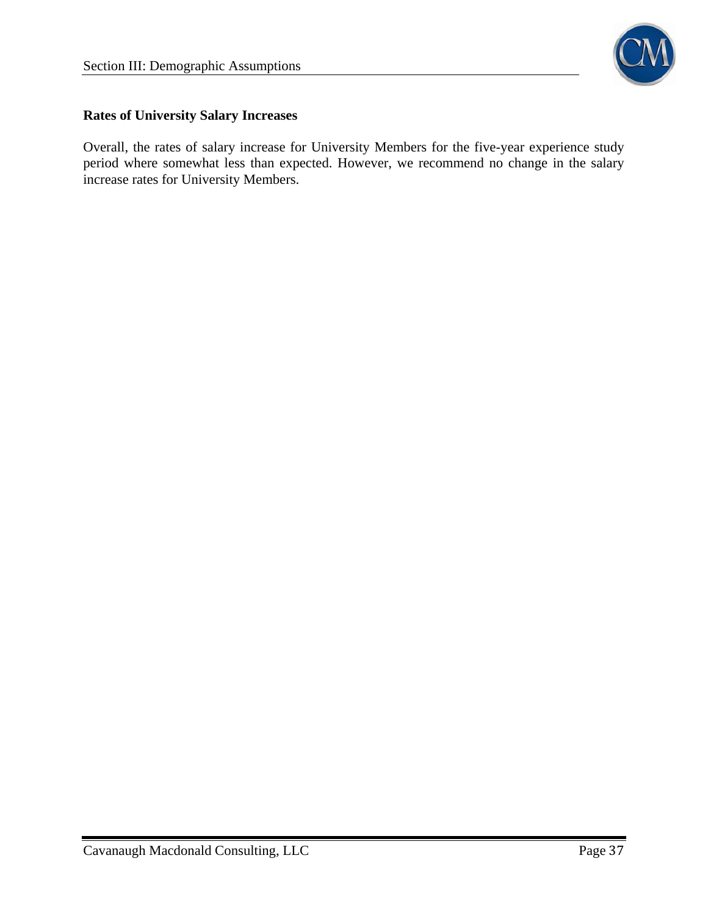

#### **Rates of University Salary Increases**

Overall, the rates of salary increase for University Members for the five-year experience study period where somewhat less than expected. However, we recommend no change in the salary increase rates for University Members.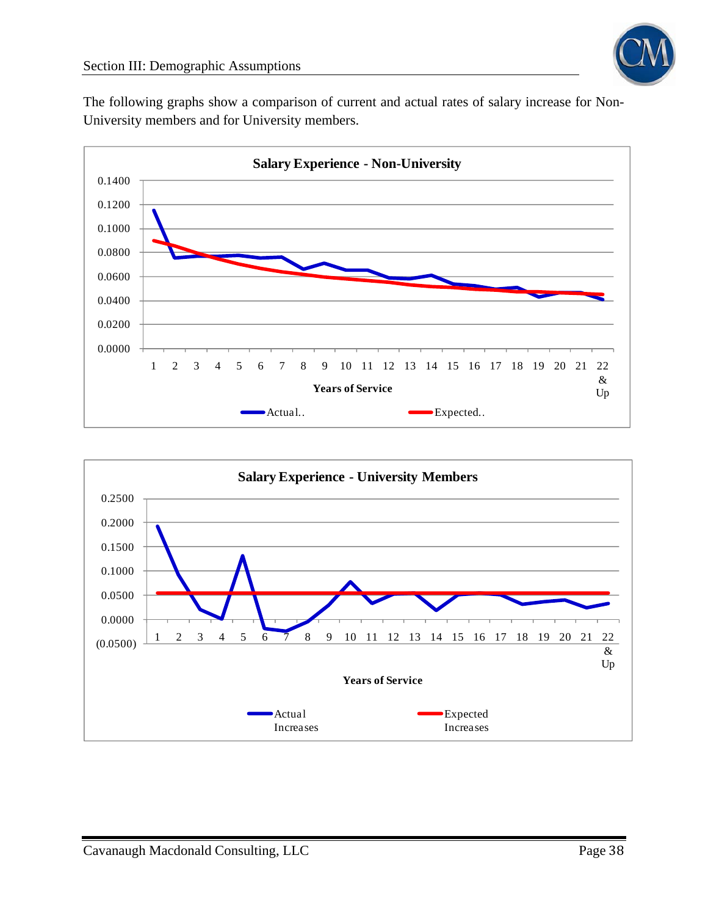

The following graphs show a comparison of current and actual rates of salary increase for Non-University members and for University members.



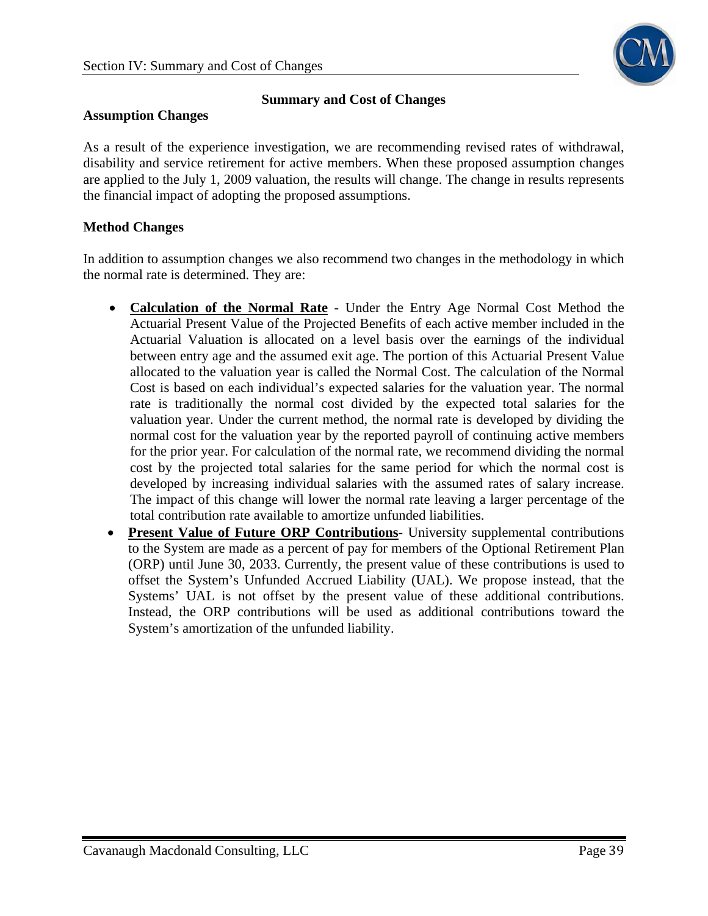

#### **Summary and Cost of Changes**

#### **Assumption Changes**

As a result of the experience investigation, we are recommending revised rates of withdrawal, disability and service retirement for active members. When these proposed assumption changes are applied to the July 1, 2009 valuation, the results will change. The change in results represents the financial impact of adopting the proposed assumptions.

#### **Method Changes**

In addition to assumption changes we also recommend two changes in the methodology in which the normal rate is determined. They are:

- **Calculation of the Normal Rate** Under the Entry Age Normal Cost Method the Actuarial Present Value of the Projected Benefits of each active member included in the Actuarial Valuation is allocated on a level basis over the earnings of the individual between entry age and the assumed exit age. The portion of this Actuarial Present Value allocated to the valuation year is called the Normal Cost. The calculation of the Normal Cost is based on each individual's expected salaries for the valuation year. The normal rate is traditionally the normal cost divided by the expected total salaries for the valuation year. Under the current method, the normal rate is developed by dividing the normal cost for the valuation year by the reported payroll of continuing active members for the prior year. For calculation of the normal rate, we recommend dividing the normal cost by the projected total salaries for the same period for which the normal cost is developed by increasing individual salaries with the assumed rates of salary increase. The impact of this change will lower the normal rate leaving a larger percentage of the total contribution rate available to amortize unfunded liabilities.
- **Present Value of Future ORP Contributions** University supplemental contributions to the System are made as a percent of pay for members of the Optional Retirement Plan (ORP) until June 30, 2033. Currently, the present value of these contributions is used to offset the System's Unfunded Accrued Liability (UAL). We propose instead, that the Systems' UAL is not offset by the present value of these additional contributions. Instead, the ORP contributions will be used as additional contributions toward the System's amortization of the unfunded liability.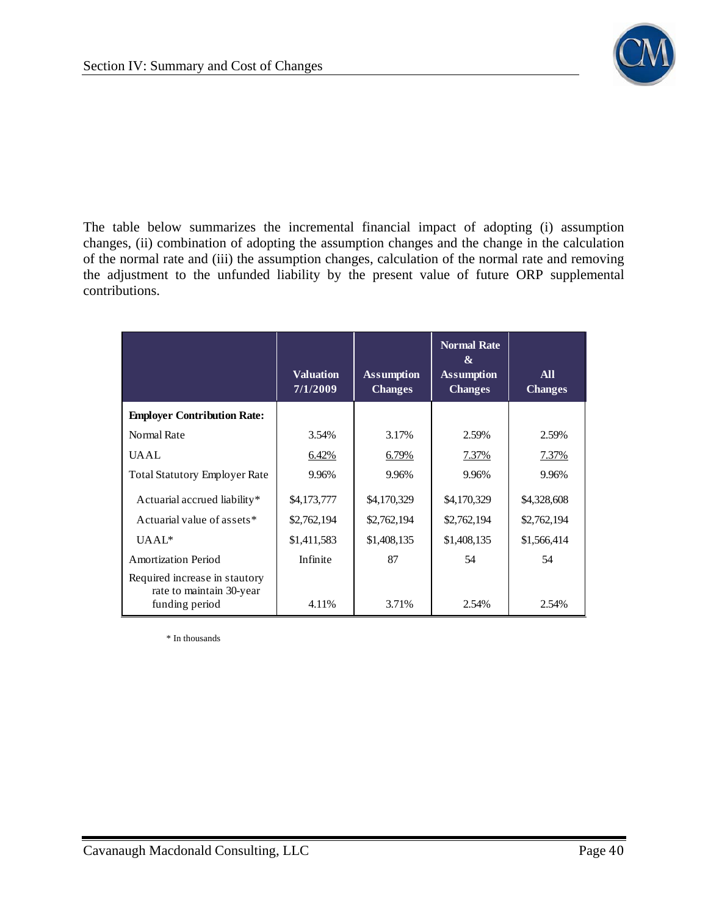

The table below summarizes the incremental financial impact of adopting (i) assumption changes, (ii) combination of adopting the assumption changes and the change in the calculation of the normal rate and (iii) the assumption changes, calculation of the normal rate and removing the adjustment to the unfunded liability by the present value of future ORP supplemental contributions.

|                                                           | <b>Valuation</b> | <b>Assumption</b> | <b>Normal Rate</b><br>&<br><b>Assumption</b> | <b>All</b>     |
|-----------------------------------------------------------|------------------|-------------------|----------------------------------------------|----------------|
|                                                           | 7/1/2009         | <b>Changes</b>    | <b>Changes</b>                               | <b>Changes</b> |
| <b>Employer Contribution Rate:</b>                        |                  |                   |                                              |                |
| Normal Rate                                               | 3.54%            | 3.17%             | 2.59%                                        | 2.59%          |
| <b>UAAL</b>                                               | 6.42%            | 6.79%             | 7.37%                                        | 7.37%          |
| <b>Total Statutory Employer Rate</b>                      | 9.96%            | 9.96%             | 9.96%                                        | 9.96%          |
| Actuarial accrued liability*                              | \$4,173,777      | \$4,170,329       | \$4,170,329                                  | \$4,328,608    |
| Actuarial value of assets*                                | \$2,762,194      | \$2,762,194       | \$2,762,194                                  | \$2,762,194    |
| $UAAL^*$                                                  | \$1,411,583      | \$1,408,135       | \$1,408,135                                  | \$1,566,414    |
| Amortization Period                                       | Infinite         | 87                | 54                                           | 54             |
| Required increase in stautory<br>rate to maintain 30-year |                  |                   |                                              |                |
| funding period                                            | 4.11%            | 3.71%             | 2.54%                                        | 2.54%          |

\* In thousands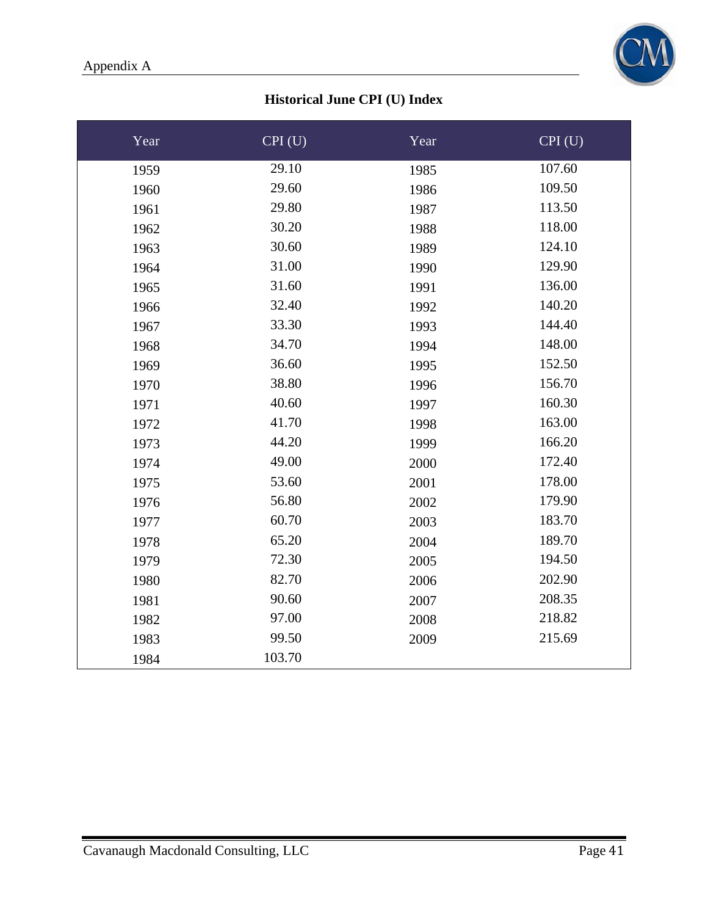

## **Historical June CPI (U) Index**

| Year | CPI(U) | Year | CPI(U) |
|------|--------|------|--------|
| 1959 | 29.10  | 1985 | 107.60 |
| 1960 | 29.60  | 1986 | 109.50 |
| 1961 | 29.80  | 1987 | 113.50 |
| 1962 | 30.20  | 1988 | 118.00 |
| 1963 | 30.60  | 1989 | 124.10 |
| 1964 | 31.00  | 1990 | 129.90 |
| 1965 | 31.60  | 1991 | 136.00 |
| 1966 | 32.40  | 1992 | 140.20 |
| 1967 | 33.30  | 1993 | 144.40 |
| 1968 | 34.70  | 1994 | 148.00 |
| 1969 | 36.60  | 1995 | 152.50 |
| 1970 | 38.80  | 1996 | 156.70 |
| 1971 | 40.60  | 1997 | 160.30 |
| 1972 | 41.70  | 1998 | 163.00 |
| 1973 | 44.20  | 1999 | 166.20 |
| 1974 | 49.00  | 2000 | 172.40 |
| 1975 | 53.60  | 2001 | 178.00 |
| 1976 | 56.80  | 2002 | 179.90 |
| 1977 | 60.70  | 2003 | 183.70 |
| 1978 | 65.20  | 2004 | 189.70 |
| 1979 | 72.30  | 2005 | 194.50 |
| 1980 | 82.70  | 2006 | 202.90 |
| 1981 | 90.60  | 2007 | 208.35 |
| 1982 | 97.00  | 2008 | 218.82 |
| 1983 | 99.50  | 2009 | 215.69 |
| 1984 | 103.70 |      |        |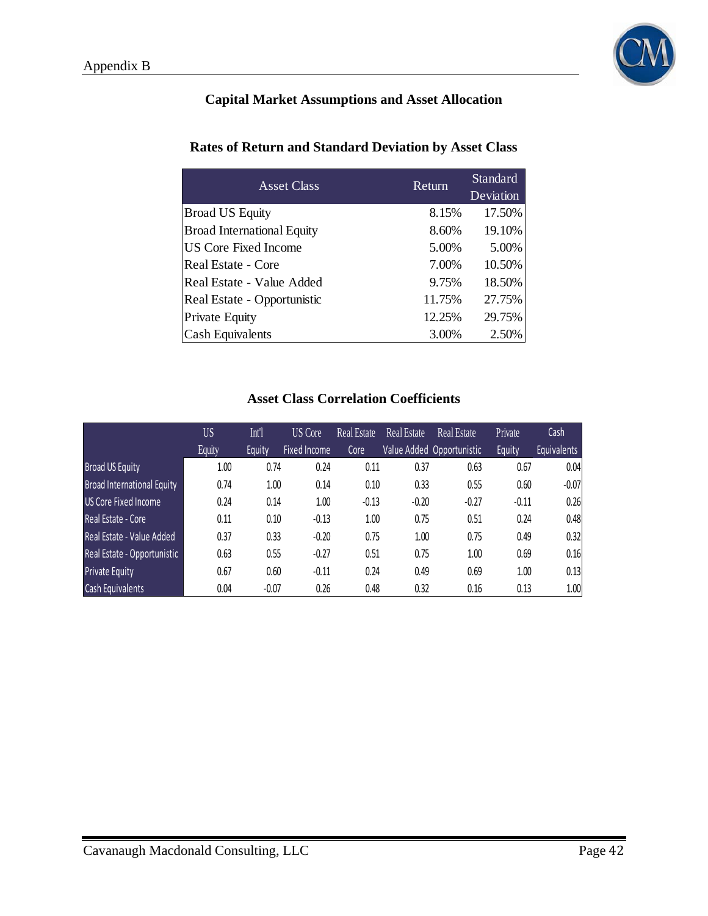

## **Capital Market Assumptions and Asset Allocation**

#### **Rates of Return and Standard Deviation by Asset Class**

| <b>Asset Class</b>                | Return | Standard<br>Deviation |
|-----------------------------------|--------|-----------------------|
| <b>Broad US Equity</b>            | 8.15%  | 17.50%                |
| <b>Broad International Equity</b> | 8.60%  | 19.10%                |
| US Core Fixed Income              | 5.00%  | 5.00%                 |
| Real Estate - Core                | 7.00%  | 10.50%                |
| Real Estate - Value Added         | 9.75%  | 18.50%                |
| Real Estate - Opportunistic       | 11.75% | 27.75%                |
| <b>Private Equity</b>             | 12.25% | 29.75%                |
| <b>Cash Equivalents</b>           | 3.00%  | 2.50%                 |

## **Asset Class Correlation Coefficients**

|                                   | <b>US</b> | Int'l   | <b>US</b> Core      | <b>Real Estate</b> | <b>Real Estate</b> | <b>Real Estate</b>        | Private | Cash               |
|-----------------------------------|-----------|---------|---------------------|--------------------|--------------------|---------------------------|---------|--------------------|
|                                   | Equity    | Equity  | <b>Fixed Income</b> | Core               |                    | Value Added Opportunistic | Equity  | <b>Equivalents</b> |
| <b>Broad US Equity</b>            | 1.00      | 0.74    | 0.24                | 0.11               | 0.37               | 0.63                      | 0.67    | 0.04               |
| <b>Broad International Equity</b> | 0.74      | 1.00    | 0.14                | 0.10               | 0.33               | 0.55                      | 0.60    | $-0.07$            |
| <b>US Core Fixed Income</b>       | 0.24      | 0.14    | 1.00                | $-0.13$            | $-0.20$            | $-0.27$                   | $-0.11$ | 0.26               |
| Real Estate - Core                | 0.11      | 0.10    | $-0.13$             | 1.00               | 0.75               | 0.51                      | 0.24    | 0.48               |
| Real Estate - Value Added         | 0.37      | 0.33    | $-0.20$             | 0.75               | 1.00               | 0.75                      | 0.49    | 0.32               |
| Real Estate - Opportunistic       | 0.63      | 0.55    | $-0.27$             | 0.51               | 0.75               | 1.00                      | 0.69    | 0.16               |
| <b>Private Equity</b>             | 0.67      | 0.60    | $-0.11$             | 0.24               | 0.49               | 0.69                      | 1.00    | 0.13               |
| Cash Equivalents                  | 0.04      | $-0.07$ | 0.26                | 0.48               | 0.32               | 0.16                      | 0.13    | 1.00               |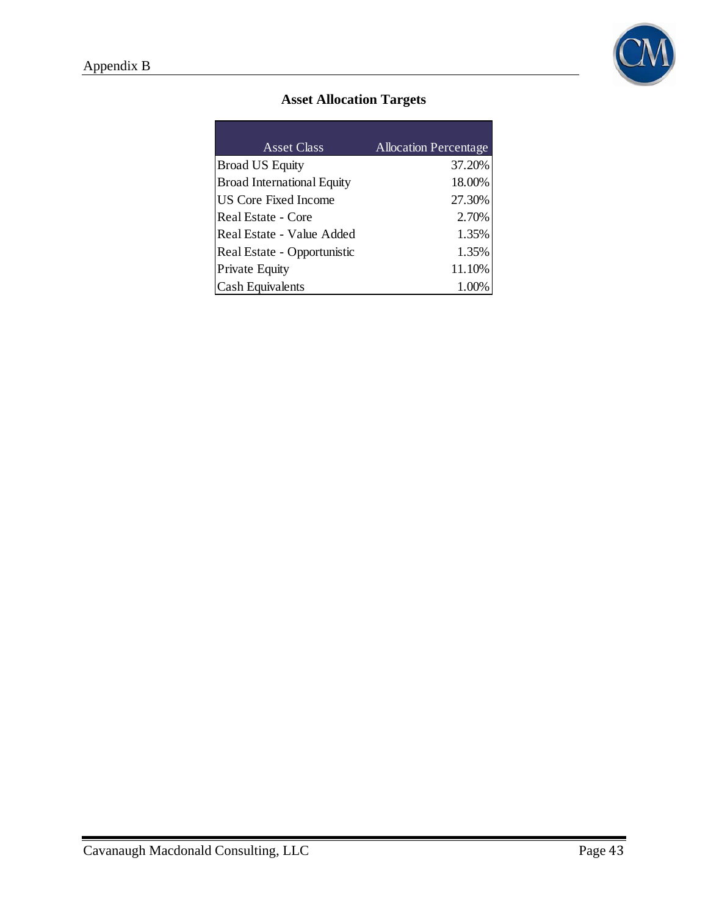

## **Asset Allocation Targets**

| <b>Asset Class</b>                | <b>Allocation Percentage</b> |
|-----------------------------------|------------------------------|
| <b>Broad US Equity</b>            | 37.20%                       |
| <b>Broad International Equity</b> | 18.00%                       |
| <b>US Core Fixed Income</b>       | 27.30%                       |
| Real Estate - Core                | 2.70%                        |
| Real Estate - Value Added         | 1.35%                        |
|                                   |                              |
| Real Estate - Opportunistic       | 1.35%                        |
| Private Equity                    | 11.10%                       |
| <b>Cash Equivalents</b>           | 1.00%                        |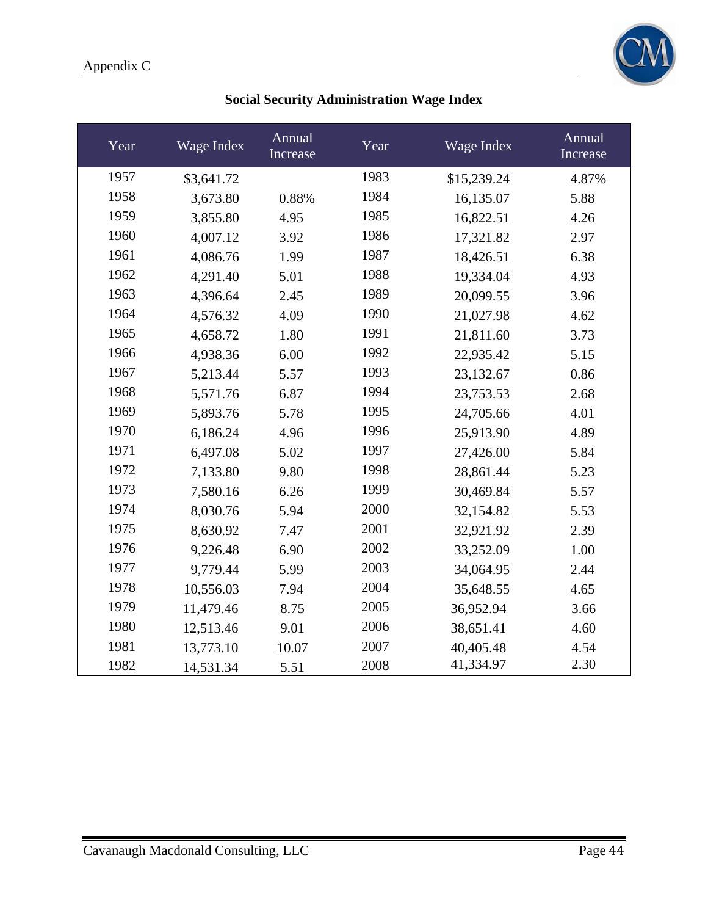

| Year | Wage Index | Annual<br>Increase | Year | Wage Index  | Annual<br>Increase |
|------|------------|--------------------|------|-------------|--------------------|
| 1957 | \$3,641.72 |                    | 1983 | \$15,239.24 | 4.87%              |
| 1958 | 3,673.80   | 0.88%              | 1984 | 16,135.07   | 5.88               |
| 1959 | 3,855.80   | 4.95               | 1985 | 16,822.51   | 4.26               |
| 1960 | 4,007.12   | 3.92               | 1986 | 17,321.82   | 2.97               |
| 1961 | 4,086.76   | 1.99               | 1987 | 18,426.51   | 6.38               |
| 1962 | 4,291.40   | 5.01               | 1988 | 19,334.04   | 4.93               |
| 1963 | 4,396.64   | 2.45               | 1989 | 20,099.55   | 3.96               |
| 1964 | 4,576.32   | 4.09               | 1990 | 21,027.98   | 4.62               |
| 1965 | 4,658.72   | 1.80               | 1991 | 21,811.60   | 3.73               |
| 1966 | 4,938.36   | 6.00               | 1992 | 22,935.42   | 5.15               |
| 1967 | 5,213.44   | 5.57               | 1993 | 23,132.67   | 0.86               |
| 1968 | 5,571.76   | 6.87               | 1994 | 23,753.53   | 2.68               |
| 1969 | 5,893.76   | 5.78               | 1995 | 24,705.66   | 4.01               |
| 1970 | 6,186.24   | 4.96               | 1996 | 25,913.90   | 4.89               |
| 1971 | 6,497.08   | 5.02               | 1997 | 27,426.00   | 5.84               |
| 1972 | 7,133.80   | 9.80               | 1998 | 28,861.44   | 5.23               |
| 1973 | 7,580.16   | 6.26               | 1999 | 30,469.84   | 5.57               |
| 1974 | 8,030.76   | 5.94               | 2000 | 32,154.82   | 5.53               |
| 1975 | 8,630.92   | 7.47               | 2001 | 32,921.92   | 2.39               |
| 1976 | 9,226.48   | 6.90               | 2002 | 33,252.09   | 1.00               |
| 1977 | 9,779.44   | 5.99               | 2003 | 34,064.95   | 2.44               |
| 1978 | 10,556.03  | 7.94               | 2004 | 35,648.55   | 4.65               |
| 1979 | 11,479.46  | 8.75               | 2005 | 36,952.94   | 3.66               |
| 1980 | 12,513.46  | 9.01               | 2006 | 38,651.41   | 4.60               |
| 1981 | 13,773.10  | 10.07              | 2007 | 40,405.48   | 4.54               |
| 1982 | 14,531.34  | 5.51               | 2008 | 41,334.97   | 2.30               |

## **Social Security Administration Wage Index**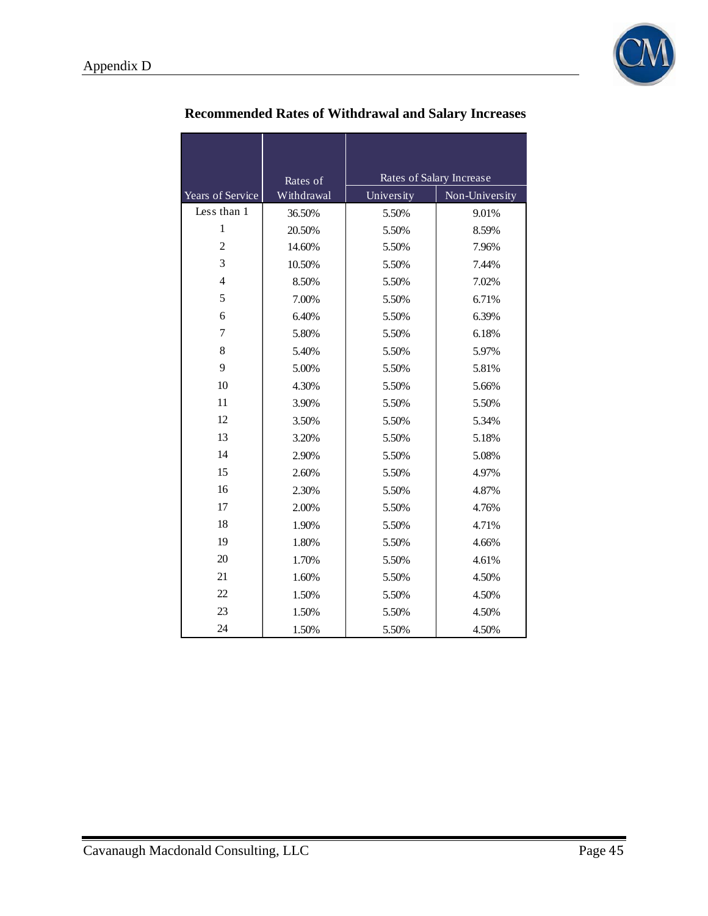

|                  | Rates of   | Rates of Salary Increase |                |  |
|------------------|------------|--------------------------|----------------|--|
| Years of Service | Withdrawal | University               | Non-University |  |
| Less than 1      | 36.50%     | 5.50%                    | 9.01%          |  |
| 1                | 20.50%     | 5.50%                    | 8.59%          |  |
| $\overline{c}$   | 14.60%     | 5.50%                    | 7.96%          |  |
| 3                | 10.50%     | 5.50%                    | 7.44%          |  |
| $\overline{4}$   | 8.50%      | 5.50%                    | 7.02%          |  |
| 5                | 7.00%      | 5.50%                    | 6.71%          |  |
| 6                | 6.40%      | 5.50%                    | 6.39%          |  |
| 7                | 5.80%      | 5.50%                    | 6.18%          |  |
| 8                | 5.40%      | 5.50%                    | 5.97%          |  |
| 9                | 5.00%      | 5.50%                    | 5.81%          |  |
| 10               | 4.30%      | 5.50%                    | 5.66%          |  |
| 11               | 3.90%      | 5.50%                    | 5.50%          |  |
| 12               | 3.50%      | 5.50%                    | 5.34%          |  |
| 13               | 3.20%      | 5.50%                    | 5.18%          |  |
| 14               | 2.90%      | 5.50%                    | 5.08%          |  |
| 15               | 2.60%      | 5.50%                    | 4.97%          |  |
| 16               | 2.30%      | 5.50%                    | 4.87%          |  |
| 17               | 2.00%      | 5.50%                    | 4.76%          |  |
| 18               | 1.90%      | 5.50%                    | 4.71%          |  |
| 19               | 1.80%      | 5.50%                    | 4.66%          |  |
| 20               | 1.70%      | 5.50%                    | 4.61%          |  |
| 21               | 1.60%      | 5.50%                    | 4.50%          |  |
| 22               | 1.50%      | 5.50%                    | 4.50%          |  |
| 23               | 1.50%      | 5.50%                    | 4.50%          |  |
| 24               | 1.50%      | 5.50%                    | 4.50%          |  |

# **Recommended Rates of Withdrawal and Salary Increases**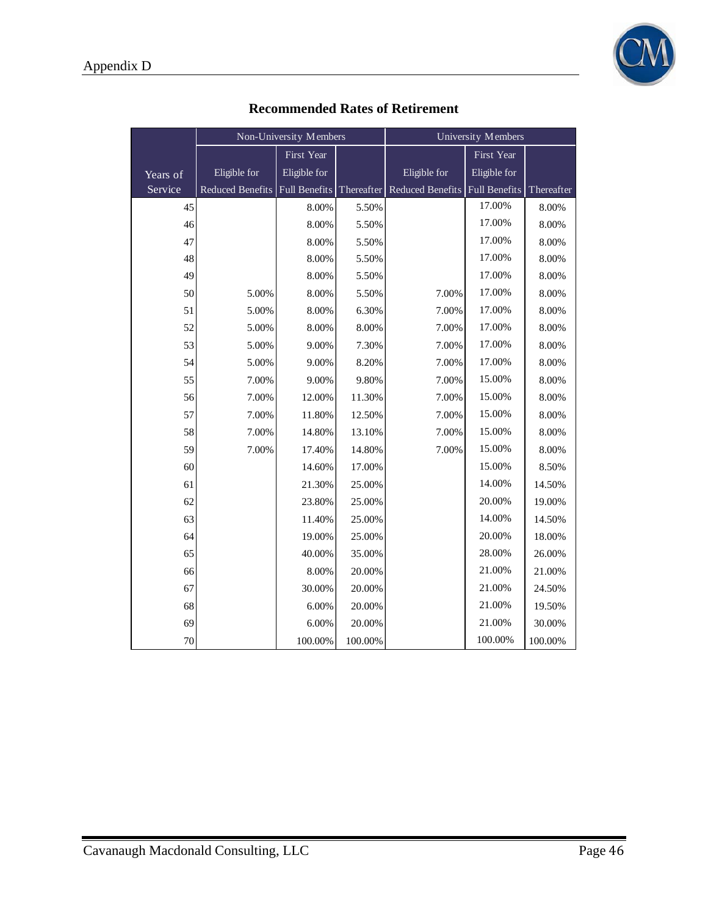

|          | Non-University Members |               | University Members |                         |               |            |
|----------|------------------------|---------------|--------------------|-------------------------|---------------|------------|
|          |                        | First Year    |                    |                         | First Year    |            |
| Years of | Eligible for           | Eligible for  |                    | Eligible for            | Eligible for  |            |
| Service  | Reduced Benefits       | Full Benefits | Thereafter         | <b>Reduced Benefits</b> | Full Benefits | Thereafter |
| 45       |                        | 8.00%         | 5.50%              |                         | 17.00%        | 8.00%      |
| 46       |                        | 8.00%         | 5.50%              |                         | 17.00%        | 8.00%      |
| 47       |                        | 8.00%         | 5.50%              |                         | 17.00%        | 8.00%      |
| 48       |                        | 8.00%         | 5.50%              |                         | 17.00%        | 8.00%      |
| 49       |                        | 8.00%         | 5.50%              |                         | 17.00%        | 8.00%      |
| 50       | 5.00%                  | 8.00%         | 5.50%              | 7.00%                   | 17.00%        | 8.00%      |
| 51       | 5.00%                  | 8.00%         | 6.30%              | 7.00%                   | 17.00%        | 8.00%      |
| 52       | 5.00%                  | 8.00%         | 8.00%              | 7.00%                   | 17.00%        | 8.00%      |
| 53       | 5.00%                  | 9.00%         | 7.30%              | 7.00%                   | 17.00%        | 8.00%      |
| 54       | 5.00%                  | 9.00%         | 8.20%              | 7.00%                   | 17.00%        | 8.00%      |
| 55       | 7.00%                  | 9.00%         | 9.80%              | 7.00%                   | 15.00%        | 8.00%      |
| 56       | 7.00%                  | 12.00%        | 11.30%             | 7.00%                   | 15.00%        | 8.00%      |
| 57       | 7.00%                  | 11.80%        | 12.50%             | 7.00%                   | 15.00%        | 8.00%      |
| 58       | 7.00%                  | 14.80%        | 13.10%             | 7.00%                   | 15.00%        | 8.00%      |
| 59       | 7.00%                  | 17.40%        | 14.80%             | 7.00%                   | 15.00%        | 8.00%      |
| 60       |                        | 14.60%        | 17.00%             |                         | 15.00%        | 8.50%      |
| 61       |                        | 21.30%        | 25.00%             |                         | 14.00%        | 14.50%     |
| 62       |                        | 23.80%        | 25.00%             |                         | 20.00%        | 19.00%     |
| 63       |                        | 11.40%        | 25.00%             |                         | 14.00%        | 14.50%     |
| 64       |                        | 19.00%        | 25.00%             |                         | 20.00%        | 18.00%     |
| 65       |                        | 40.00%        | 35.00%             |                         | 28.00%        | 26.00%     |
| 66       |                        | 8.00%         | 20.00%             |                         | 21.00%        | 21.00%     |
| 67       |                        | 30.00%        | 20.00%             |                         | 21.00%        | 24.50%     |
| 68       |                        | 6.00%         | 20.00%             |                         | 21.00%        | 19.50%     |
| 69       |                        | 6.00%         | 20.00%             |                         | 21.00%        | 30.00%     |
| 70       |                        | 100.00%       | 100.00%            |                         | 100.00%       | 100.00%    |

## **Recommended Rates of Retirement**